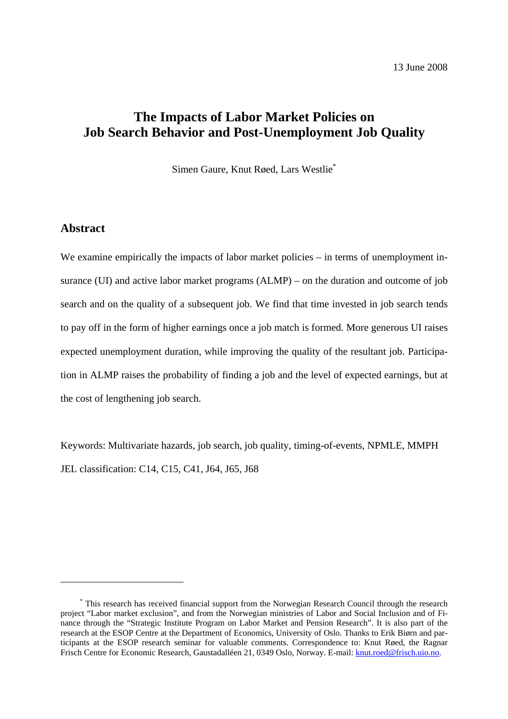# **The Impacts of Labor Market Policies on Job Search Behavior and Post-Unemployment Job Quality**

Simen Gaure, Knut Røed, Lars Westlie\*

# **Abstract**

 $\overline{a}$ 

We examine empirically the impacts of labor market policies – in terms of unemployment insurance (UI) and active labor market programs (ALMP) – on the duration and outcome of job search and on the quality of a subsequent job. We find that time invested in job search tends to pay off in the form of higher earnings once a job match is formed. More generous UI raises expected unemployment duration, while improving the quality of the resultant job. Participation in ALMP raises the probability of finding a job and the level of expected earnings, but at the cost of lengthening job search.

Keywords: Multivariate hazards, job search, job quality, timing-of-events, NPMLE, MMPH JEL classification: C14, C15, C41, J64, J65, J68

<sup>\*</sup> This research has received financial support from the Norwegian Research Council through the research project "Labor market exclusion", and from the Norwegian ministries of Labor and Social Inclusion and of Finance through the "Strategic Institute Program on Labor Market and Pension Research". It is also part of the research at the ESOP Centre at the Department of Economics, University of Oslo. Thanks to Erik Biørn and participants at the ESOP research seminar for valuable comments. Correspondence to: Knut Røed, the Ragnar Frisch Centre for Economic Research, Gaustadalléen 21, 0349 Oslo, Norway. E-mail: knut.roed@frisch.uio.no.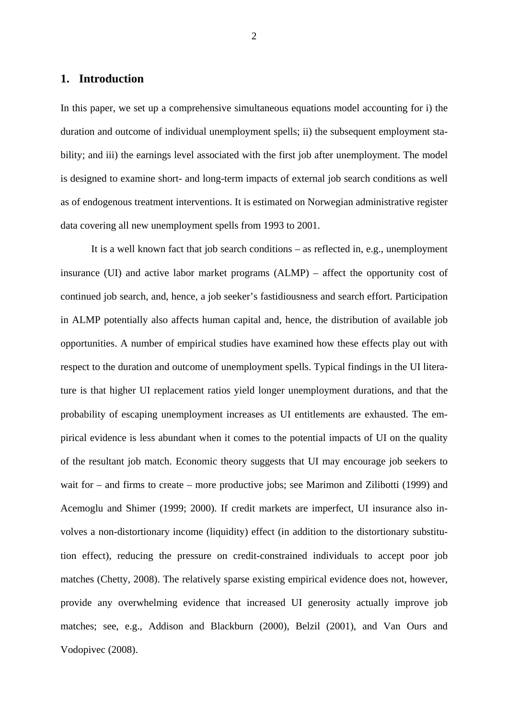# **1. Introduction**

In this paper, we set up a comprehensive simultaneous equations model accounting for i) the duration and outcome of individual unemployment spells; ii) the subsequent employment stability; and iii) the earnings level associated with the first job after unemployment. The model is designed to examine short- and long-term impacts of external job search conditions as well as of endogenous treatment interventions. It is estimated on Norwegian administrative register data covering all new unemployment spells from 1993 to 2001.

It is a well known fact that job search conditions – as reflected in, e.g., unemployment insurance (UI) and active labor market programs (ALMP) – affect the opportunity cost of continued job search, and, hence, a job seeker's fastidiousness and search effort. Participation in ALMP potentially also affects human capital and, hence, the distribution of available job opportunities. A number of empirical studies have examined how these effects play out with respect to the duration and outcome of unemployment spells. Typical findings in the UI literature is that higher UI replacement ratios yield longer unemployment durations, and that the probability of escaping unemployment increases as UI entitlements are exhausted. The empirical evidence is less abundant when it comes to the potential impacts of UI on the quality of the resultant job match. Economic theory suggests that UI may encourage job seekers to wait for – and firms to create – more productive jobs; see Marimon and Zilibotti (1999) and Acemoglu and Shimer (1999; 2000). If credit markets are imperfect, UI insurance also involves a non-distortionary income (liquidity) effect (in addition to the distortionary substitution effect), reducing the pressure on credit-constrained individuals to accept poor job matches (Chetty, 2008). The relatively sparse existing empirical evidence does not, however, provide any overwhelming evidence that increased UI generosity actually improve job matches; see, e.g., Addison and Blackburn (2000), Belzil (2001), and Van Ours and Vodopivec (2008).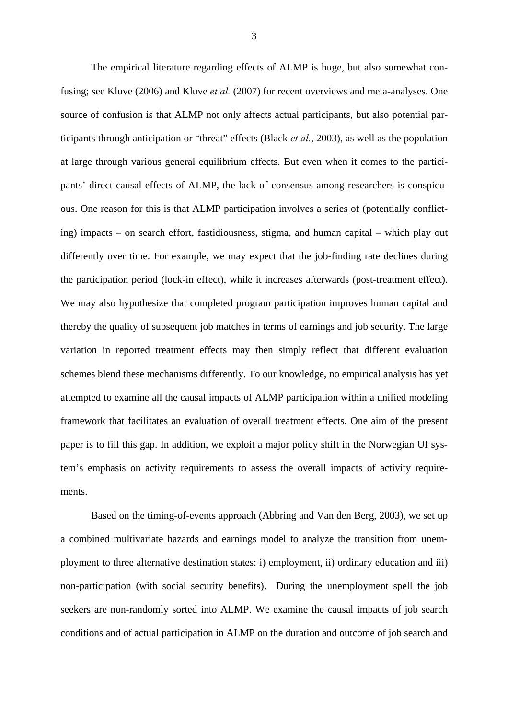The empirical literature regarding effects of ALMP is huge, but also somewhat confusing; see Kluve (2006) and Kluve *et al.* (2007) for recent overviews and meta-analyses. One source of confusion is that ALMP not only affects actual participants, but also potential participants through anticipation or "threat" effects (Black *et al.*, 2003), as well as the population at large through various general equilibrium effects. But even when it comes to the participants' direct causal effects of ALMP, the lack of consensus among researchers is conspicuous. One reason for this is that ALMP participation involves a series of (potentially conflicting) impacts – on search effort, fastidiousness, stigma, and human capital – which play out differently over time. For example, we may expect that the job-finding rate declines during the participation period (lock-in effect), while it increases afterwards (post-treatment effect). We may also hypothesize that completed program participation improves human capital and thereby the quality of subsequent job matches in terms of earnings and job security. The large variation in reported treatment effects may then simply reflect that different evaluation schemes blend these mechanisms differently. To our knowledge, no empirical analysis has yet attempted to examine all the causal impacts of ALMP participation within a unified modeling framework that facilitates an evaluation of overall treatment effects. One aim of the present paper is to fill this gap. In addition, we exploit a major policy shift in the Norwegian UI system's emphasis on activity requirements to assess the overall impacts of activity requirements.

Based on the timing-of-events approach (Abbring and Van den Berg, 2003), we set up a combined multivariate hazards and earnings model to analyze the transition from unemployment to three alternative destination states: i) employment, ii) ordinary education and iii) non-participation (with social security benefits). During the unemployment spell the job seekers are non-randomly sorted into ALMP. We examine the causal impacts of job search conditions and of actual participation in ALMP on the duration and outcome of job search and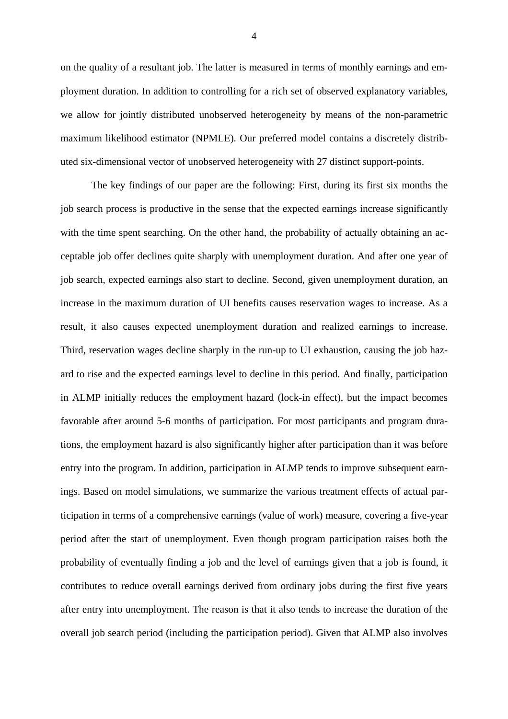on the quality of a resultant job. The latter is measured in terms of monthly earnings and employment duration. In addition to controlling for a rich set of observed explanatory variables, we allow for jointly distributed unobserved heterogeneity by means of the non-parametric maximum likelihood estimator (NPMLE). Our preferred model contains a discretely distributed six-dimensional vector of unobserved heterogeneity with 27 distinct support-points.

The key findings of our paper are the following: First, during its first six months the job search process is productive in the sense that the expected earnings increase significantly with the time spent searching. On the other hand, the probability of actually obtaining an acceptable job offer declines quite sharply with unemployment duration. And after one year of job search, expected earnings also start to decline. Second, given unemployment duration, an increase in the maximum duration of UI benefits causes reservation wages to increase. As a result, it also causes expected unemployment duration and realized earnings to increase. Third, reservation wages decline sharply in the run-up to UI exhaustion, causing the job hazard to rise and the expected earnings level to decline in this period. And finally, participation in ALMP initially reduces the employment hazard (lock-in effect), but the impact becomes favorable after around 5-6 months of participation. For most participants and program durations, the employment hazard is also significantly higher after participation than it was before entry into the program. In addition, participation in ALMP tends to improve subsequent earnings. Based on model simulations, we summarize the various treatment effects of actual participation in terms of a comprehensive earnings (value of work) measure, covering a five-year period after the start of unemployment. Even though program participation raises both the probability of eventually finding a job and the level of earnings given that a job is found, it contributes to reduce overall earnings derived from ordinary jobs during the first five years after entry into unemployment. The reason is that it also tends to increase the duration of the overall job search period (including the participation period). Given that ALMP also involves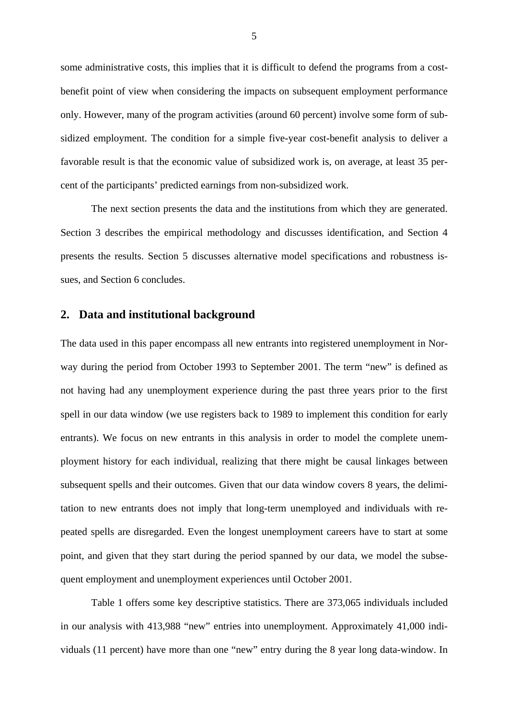some administrative costs, this implies that it is difficult to defend the programs from a costbenefit point of view when considering the impacts on subsequent employment performance only. However, many of the program activities (around 60 percent) involve some form of subsidized employment. The condition for a simple five-year cost-benefit analysis to deliver a favorable result is that the economic value of subsidized work is, on average, at least 35 percent of the participants' predicted earnings from non-subsidized work.

The next section presents the data and the institutions from which they are generated. Section 3 describes the empirical methodology and discusses identification, and Section 4 presents the results. Section 5 discusses alternative model specifications and robustness issues, and Section 6 concludes.

# **2. Data and institutional background**

The data used in this paper encompass all new entrants into registered unemployment in Norway during the period from October 1993 to September 2001. The term "new" is defined as not having had any unemployment experience during the past three years prior to the first spell in our data window (we use registers back to 1989 to implement this condition for early entrants). We focus on new entrants in this analysis in order to model the complete unemployment history for each individual, realizing that there might be causal linkages between subsequent spells and their outcomes. Given that our data window covers 8 years, the delimitation to new entrants does not imply that long-term unemployed and individuals with repeated spells are disregarded. Even the longest unemployment careers have to start at some point, and given that they start during the period spanned by our data, we model the subsequent employment and unemployment experiences until October 2001.

 Table 1 offers some key descriptive statistics. There are 373,065 individuals included in our analysis with 413,988 "new" entries into unemployment. Approximately 41,000 individuals (11 percent) have more than one "new" entry during the 8 year long data-window. In

5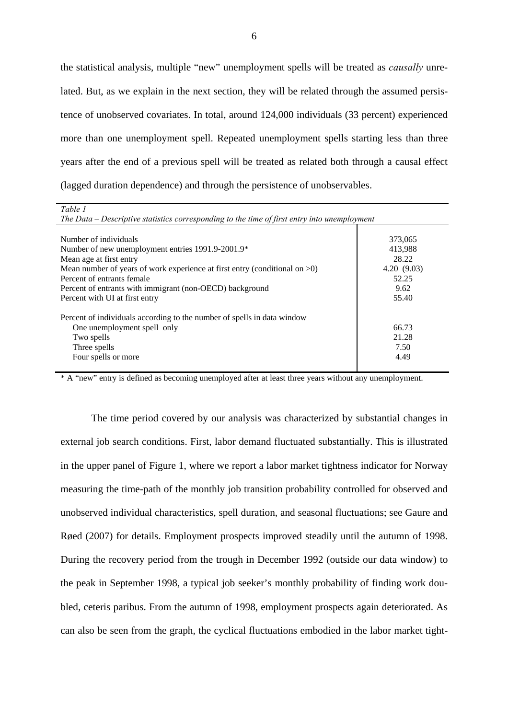the statistical analysis, multiple "new" unemployment spells will be treated as *causally* unrelated. But, as we explain in the next section, they will be related through the assumed persistence of unobserved covariates. In total, around 124,000 individuals (33 percent) experienced more than one unemployment spell. Repeated unemployment spells starting less than three years after the end of a previous spell will be treated as related both through a causal effect (lagged duration dependence) and through the persistence of unobservables.

| Table 1                                                                                      |            |
|----------------------------------------------------------------------------------------------|------------|
| The Data – Descriptive statistics corresponding to the time of first entry into unemployment |            |
|                                                                                              |            |
| Number of individuals                                                                        | 373,065    |
| Number of new unemployment entries 1991.9-2001.9*                                            | 413,988    |
| Mean age at first entry                                                                      | 28.22      |
| Mean number of years of work experience at first entry (conditional on $>0$ )                | 4.20(9.03) |
| Percent of entrants female                                                                   | 52.25      |
| Percent of entrants with immigrant (non-OECD) background                                     | 9.62       |
| Percent with UI at first entry                                                               | 55.40      |
|                                                                                              |            |
| Percent of individuals according to the number of spells in data window                      |            |
| One unemployment spell only                                                                  | 66.73      |
| Two spells                                                                                   | 21.28      |
| Three spells                                                                                 | 7.50       |
| Four spells or more                                                                          | 4.49       |
|                                                                                              |            |

\* A "new" entry is defined as becoming unemployed after at least three years without any unemployment.

The time period covered by our analysis was characterized by substantial changes in external job search conditions. First, labor demand fluctuated substantially. This is illustrated in the upper panel of Figure 1, where we report a labor market tightness indicator for Norway measuring the time-path of the monthly job transition probability controlled for observed and unobserved individual characteristics, spell duration, and seasonal fluctuations; see Gaure and Røed (2007) for details. Employment prospects improved steadily until the autumn of 1998. During the recovery period from the trough in December 1992 (outside our data window) to the peak in September 1998, a typical job seeker's monthly probability of finding work doubled, ceteris paribus. From the autumn of 1998, employment prospects again deteriorated. As can also be seen from the graph, the cyclical fluctuations embodied in the labor market tight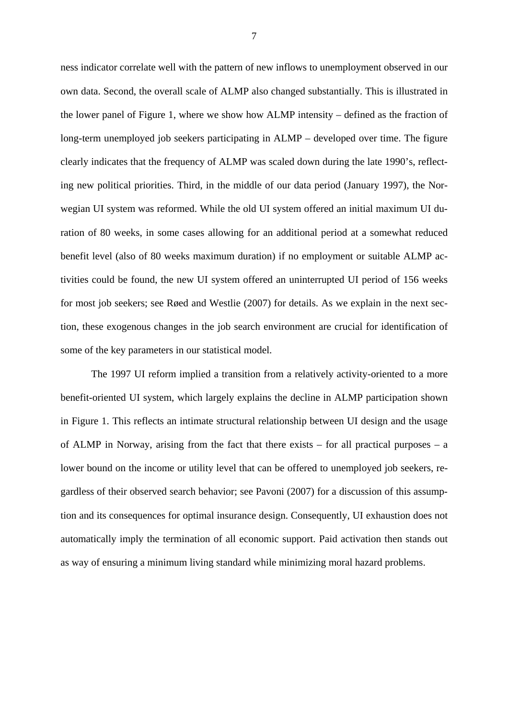ness indicator correlate well with the pattern of new inflows to unemployment observed in our own data. Second, the overall scale of ALMP also changed substantially. This is illustrated in the lower panel of Figure 1, where we show how ALMP intensity – defined as the fraction of long-term unemployed job seekers participating in ALMP – developed over time. The figure clearly indicates that the frequency of ALMP was scaled down during the late 1990's, reflecting new political priorities. Third, in the middle of our data period (January 1997), the Norwegian UI system was reformed. While the old UI system offered an initial maximum UI duration of 80 weeks, in some cases allowing for an additional period at a somewhat reduced benefit level (also of 80 weeks maximum duration) if no employment or suitable ALMP activities could be found, the new UI system offered an uninterrupted UI period of 156 weeks for most job seekers; see Røed and Westlie (2007) for details. As we explain in the next section, these exogenous changes in the job search environment are crucial for identification of some of the key parameters in our statistical model.

The 1997 UI reform implied a transition from a relatively activity-oriented to a more benefit-oriented UI system, which largely explains the decline in ALMP participation shown in Figure 1. This reflects an intimate structural relationship between UI design and the usage of ALMP in Norway, arising from the fact that there exists – for all practical purposes – a lower bound on the income or utility level that can be offered to unemployed job seekers, regardless of their observed search behavior; see Pavoni (2007) for a discussion of this assumption and its consequences for optimal insurance design. Consequently, UI exhaustion does not automatically imply the termination of all economic support. Paid activation then stands out as way of ensuring a minimum living standard while minimizing moral hazard problems.

7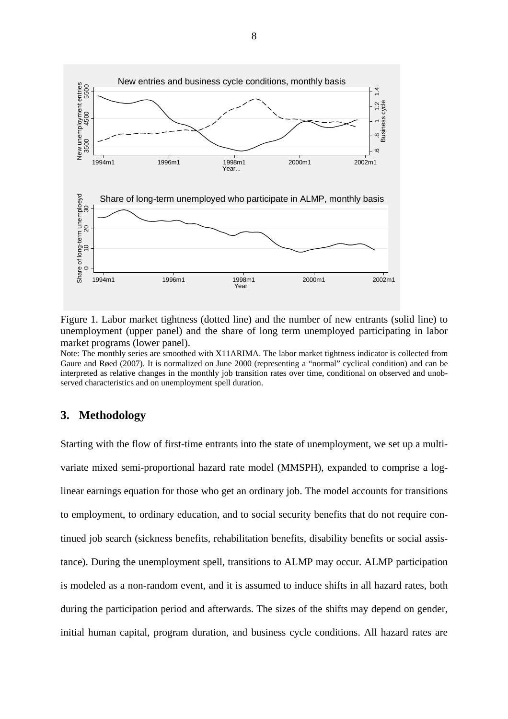

Figure 1. Labor market tightness (dotted line) and the number of new entrants (solid line) to unemployment (upper panel) and the share of long term unemployed participating in labor market programs (lower panel).

Note: The monthly series are smoothed with X11ARIMA. The labor market tightness indicator is collected from Gaure and Røed (2007). It is normalized on June 2000 (representing a "normal" cyclical condition) and can be interpreted as relative changes in the monthly job transition rates over time, conditional on observed and unobserved characteristics and on unemployment spell duration.

# **3. Methodology**

Starting with the flow of first-time entrants into the state of unemployment, we set up a multivariate mixed semi-proportional hazard rate model (MMSPH), expanded to comprise a loglinear earnings equation for those who get an ordinary job. The model accounts for transitions to employment, to ordinary education, and to social security benefits that do not require continued job search (sickness benefits, rehabilitation benefits, disability benefits or social assistance). During the unemployment spell, transitions to ALMP may occur. ALMP participation is modeled as a non-random event, and it is assumed to induce shifts in all hazard rates, both during the participation period and afterwards. The sizes of the shifts may depend on gender, initial human capital, program duration, and business cycle conditions. All hazard rates are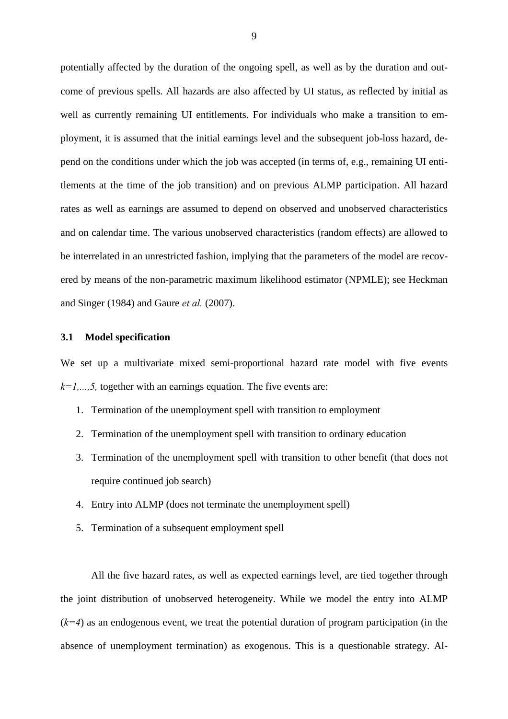potentially affected by the duration of the ongoing spell, as well as by the duration and outcome of previous spells. All hazards are also affected by UI status, as reflected by initial as well as currently remaining UI entitlements. For individuals who make a transition to employment, it is assumed that the initial earnings level and the subsequent job-loss hazard, depend on the conditions under which the job was accepted (in terms of, e.g., remaining UI entitlements at the time of the job transition) and on previous ALMP participation. All hazard rates as well as earnings are assumed to depend on observed and unobserved characteristics and on calendar time. The various unobserved characteristics (random effects) are allowed to be interrelated in an unrestricted fashion, implying that the parameters of the model are recovered by means of the non-parametric maximum likelihood estimator (NPMLE); see Heckman and Singer (1984) and Gaure *et al.* (2007).

# **3.1 Model specification**

We set up a multivariate mixed semi-proportional hazard rate model with five events  $k=1,\ldots,5$ , together with an earnings equation. The five events are:

- 1. Termination of the unemployment spell with transition to employment
- 2. Termination of the unemployment spell with transition to ordinary education
- 3. Termination of the unemployment spell with transition to other benefit (that does not require continued job search)
- 4. Entry into ALMP (does not terminate the unemployment spell)
- 5. Termination of a subsequent employment spell

All the five hazard rates, as well as expected earnings level, are tied together through the joint distribution of unobserved heterogeneity. While we model the entry into ALMP  $(k=4)$  as an endogenous event, we treat the potential duration of program participation (in the absence of unemployment termination) as exogenous. This is a questionable strategy. Al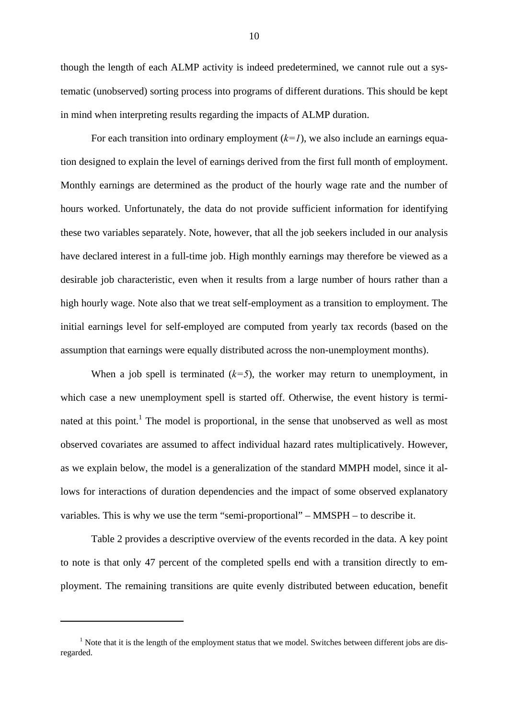though the length of each ALMP activity is indeed predetermined, we cannot rule out a systematic (unobserved) sorting process into programs of different durations. This should be kept in mind when interpreting results regarding the impacts of ALMP duration.

For each transition into ordinary employment  $(k=1)$ , we also include an earnings equation designed to explain the level of earnings derived from the first full month of employment. Monthly earnings are determined as the product of the hourly wage rate and the number of hours worked. Unfortunately, the data do not provide sufficient information for identifying these two variables separately. Note, however, that all the job seekers included in our analysis have declared interest in a full-time job. High monthly earnings may therefore be viewed as a desirable job characteristic, even when it results from a large number of hours rather than a high hourly wage. Note also that we treat self-employment as a transition to employment. The initial earnings level for self-employed are computed from yearly tax records (based on the assumption that earnings were equally distributed across the non-unemployment months).

When a job spell is terminated  $(k=5)$ , the worker may return to unemployment, in which case a new unemployment spell is started off. Otherwise, the event history is terminated at this point.<sup>1</sup> The model is proportional, in the sense that unobserved as well as most observed covariates are assumed to affect individual hazard rates multiplicatively. However, as we explain below, the model is a generalization of the standard MMPH model, since it allows for interactions of duration dependencies and the impact of some observed explanatory variables. This is why we use the term "semi-proportional" – MMSPH – to describe it.

Table 2 provides a descriptive overview of the events recorded in the data. A key point to note is that only 47 percent of the completed spells end with a transition directly to employment. The remaining transitions are quite evenly distributed between education, benefit

 $\overline{a}$ 

 $<sup>1</sup>$  Note that it is the length of the employment status that we model. Switches between different jobs are dis-</sup> regarded.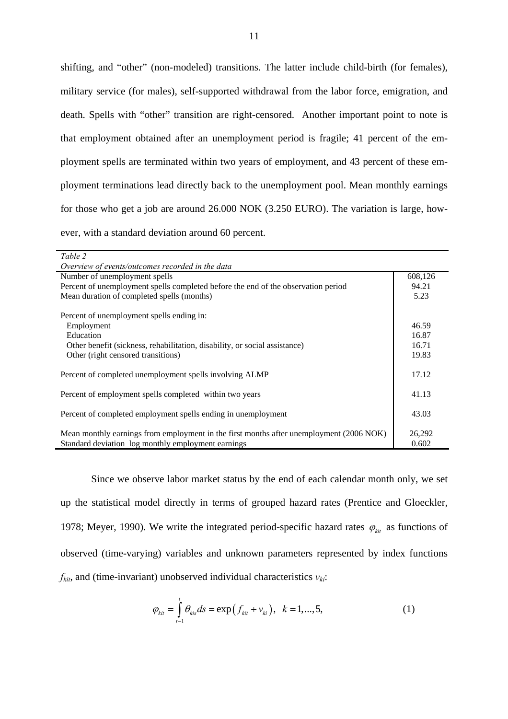shifting, and "other" (non-modeled) transitions. The latter include child-birth (for females), military service (for males), self-supported withdrawal from the labor force, emigration, and death. Spells with "other" transition are right-censored. Another important point to note is that employment obtained after an unemployment period is fragile; 41 percent of the employment spells are terminated within two years of employment, and 43 percent of these employment terminations lead directly back to the unemployment pool. Mean monthly earnings for those who get a job are around 26.000 NOK (3.250 EURO). The variation is large, however, with a standard deviation around 60 percent.

| Table 2                                                                                           |  |
|---------------------------------------------------------------------------------------------------|--|
| Overview of events/outcomes recorded in the data                                                  |  |
| Number of unemployment spells<br>608,126                                                          |  |
| Percent of unemployment spells completed before the end of the observation period<br>94.21        |  |
| Mean duration of completed spells (months)<br>5.23                                                |  |
|                                                                                                   |  |
| Percent of unemployment spells ending in:                                                         |  |
| Employment<br>46.59                                                                               |  |
| Education<br>16.87                                                                                |  |
| 16.71<br>Other benefit (sickness, rehabilitation, disability, or social assistance)               |  |
| Other (right censored transitions)<br>19.83                                                       |  |
|                                                                                                   |  |
| Percent of completed unemployment spells involving ALMP<br>17.12                                  |  |
|                                                                                                   |  |
| 41.13<br>Percent of employment spells completed within two years                                  |  |
|                                                                                                   |  |
| 43.03<br>Percent of completed employment spells ending in unemployment                            |  |
|                                                                                                   |  |
| Mean monthly earnings from employment in the first months after unemployment (2006 NOK)<br>26,292 |  |
| Standard deviation log monthly employment earnings<br>0.602                                       |  |

Since we observe labor market status by the end of each calendar month only, we set up the statistical model directly in terms of grouped hazard rates (Prentice and Gloeckler, 1978; Meyer, 1990). We write the integrated period-specific hazard rates  $\varphi_{ki}$  as functions of observed (time-varying) variables and unknown parameters represented by index functions  $f_{kit}$ , and (time-invariant) unobserved individual characteristics  $v_{ki}$ :

$$
\varphi_{\scriptscriptstyle{kit}} = \int_{t-1}^{t} \theta_{\scriptscriptstyle{kis}} ds = \exp(f_{\scriptscriptstyle{kit}} + v_{\scriptscriptstyle{ki}}), \ \ k = 1, ..., 5,
$$
 (1)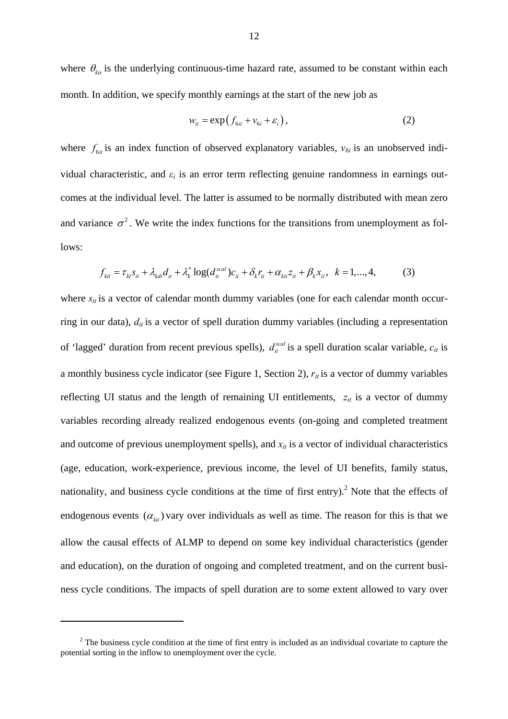where  $\theta_{\text{kis}}$  is the underlying continuous-time hazard rate, assumed to be constant within each month. In addition, we specify monthly earnings at the start of the new job as

$$
w_{it} = \exp\left(f_{6it} + v_{6i} + \varepsilon_i\right),\tag{2}
$$

where  $f_{\delta i}$  is an index function of observed explanatory variables,  $v_{\delta i}$  is an unobserved individual characteristic, and  $\varepsilon_i$  is an error term reflecting genuine randomness in earnings outcomes at the individual level. The latter is assumed to be normally distributed with mean zero and variance  $\sigma^2$ . We write the index functions for the transitions from unemployment as follows:

$$
f_{\kappa i} = \tau_{k i} s_{i t} + \lambda_{k d t} d_{i t} + \lambda_{k}^{*} \log(d_{i t}^{scal}) c_{i t} + \delta_{k} r_{i t} + \alpha_{k i t} z_{i t} + \beta_{k} x_{i t}, \quad k = 1, ..., 4,
$$
 (3)

where  $s_{it}$  is a vector of calendar month dummy variables (one for each calendar month occurring in our data),  $d_{it}$  is a vector of spell duration dummy variables (including a representation of 'lagged' duration from recent previous spells),  $d_{it}^{scal}$  is a spell duration scalar variable,  $c_{it}$  is a monthly business cycle indicator (see Figure 1, Section 2),  $r_{it}$  is a vector of dummy variables reflecting UI status and the length of remaining UI entitlements,  $z_{it}$  is a vector of dummy variables recording already realized endogenous events (on-going and completed treatment and outcome of previous unemployment spells), and  $x_{it}$  is a vector of individual characteristics (age, education, work-experience, previous income, the level of UI benefits, family status, nationality, and business cycle conditions at the time of first entry).<sup>2</sup> Note that the effects of endogenous events  $(\alpha_{\text{kit}})$  vary over individuals as well as time. The reason for this is that we allow the causal effects of ALMP to depend on some key individual characteristics (gender and education), on the duration of ongoing and completed treatment, and on the current business cycle conditions. The impacts of spell duration are to some extent allowed to vary over

 $\overline{a}$ 

 $2^2$  The business cycle condition at the time of first entry is included as an individual covariate to capture the potential sorting in the inflow to unemployment over the cycle.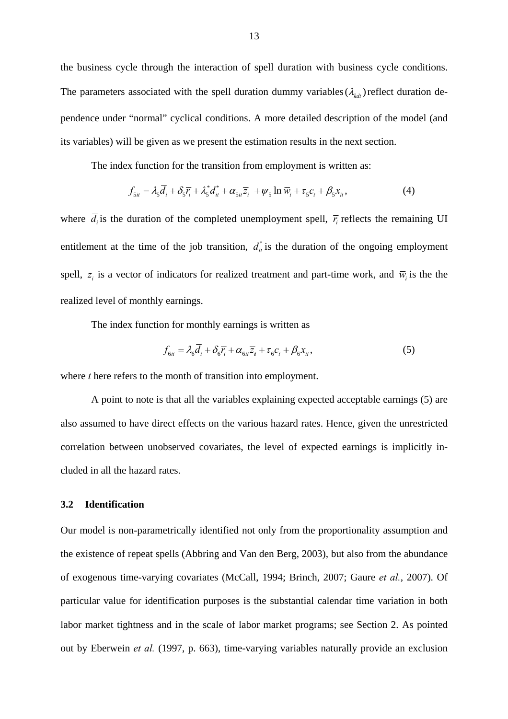the business cycle through the interaction of spell duration with business cycle conditions. The parameters associated with the spell duration dummy variables  $(\lambda_{kdt})$  reflect duration dependence under "normal" cyclical conditions. A more detailed description of the model (and its variables) will be given as we present the estimation results in the next section.

The index function for the transition from employment is written as:

$$
f_{5ii} = \lambda_5 \overline{d}_i + \delta_5 \overline{r}_i + \lambda_5^* d_{ii}^* + \alpha_{5ii} \overline{z}_i + \psi_5 \ln \overline{w}_i + \tau_5 c_i + \beta_5 x_{ii}, \tag{4}
$$

where  $\overline{d}_i$  is the duration of the completed unemployment spell,  $\overline{r}_i$  reflects the remaining UI entitlement at the time of the job transition,  $d_{it}^*$  is the duration of the ongoing employment spell,  $\overline{z}_i$  is a vector of indicators for realized treatment and part-time work, and  $\overline{w}_i$  is the the realized level of monthly earnings.

The index function for monthly earnings is written as

$$
f_{6it} = \lambda_6 \overline{d}_i + \delta_6 \overline{r}_i + \alpha_{6it} \overline{z}_i + \tau_6 c_t + \beta_6 x_{it},
$$
\n<sup>(5)</sup>

where *t* here refers to the month of transition into employment.

A point to note is that all the variables explaining expected acceptable earnings (5) are also assumed to have direct effects on the various hazard rates. Hence, given the unrestricted correlation between unobserved covariates, the level of expected earnings is implicitly included in all the hazard rates.

# **3.2 Identification**

Our model is non-parametrically identified not only from the proportionality assumption and the existence of repeat spells (Abbring and Van den Berg, 2003), but also from the abundance of exogenous time-varying covariates (McCall, 1994; Brinch, 2007; Gaure *et al.*, 2007). Of particular value for identification purposes is the substantial calendar time variation in both labor market tightness and in the scale of labor market programs; see Section 2. As pointed out by Eberwein *et al.* (1997, p. 663), time-varying variables naturally provide an exclusion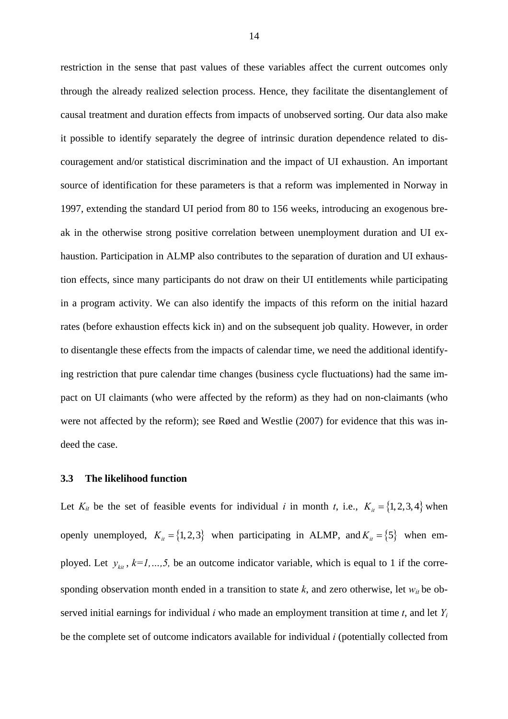restriction in the sense that past values of these variables affect the current outcomes only through the already realized selection process. Hence, they facilitate the disentanglement of causal treatment and duration effects from impacts of unobserved sorting. Our data also make it possible to identify separately the degree of intrinsic duration dependence related to discouragement and/or statistical discrimination and the impact of UI exhaustion. An important source of identification for these parameters is that a reform was implemented in Norway in 1997, extending the standard UI period from 80 to 156 weeks, introducing an exogenous break in the otherwise strong positive correlation between unemployment duration and UI exhaustion. Participation in ALMP also contributes to the separation of duration and UI exhaustion effects, since many participants do not draw on their UI entitlements while participating in a program activity. We can also identify the impacts of this reform on the initial hazard rates (before exhaustion effects kick in) and on the subsequent job quality. However, in order to disentangle these effects from the impacts of calendar time, we need the additional identifying restriction that pure calendar time changes (business cycle fluctuations) had the same impact on UI claimants (who were affected by the reform) as they had on non-claimants (who were not affected by the reform); see Røed and Westlie (2007) for evidence that this was indeed the case.

# **3.3 The likelihood function**

Let  $K_{it}$  be the set of feasible events for individual *i* in month *t*, i.e.,  $K_{it} = \{1, 2, 3, 4\}$  when openly unemployed,  $K_i = \{1, 2, 3\}$  when participating in ALMP, and  $K_i = \{5\}$  when employed. Let  $y_{ki}$ ,  $k=1,...,5$ , be an outcome indicator variable, which is equal to 1 if the corresponding observation month ended in a transition to state *k*, and zero otherwise, let *wit* be observed initial earnings for individual *i* who made an employment transition at time *t*, and let *Yi* be the complete set of outcome indicators available for individual *i* (potentially collected from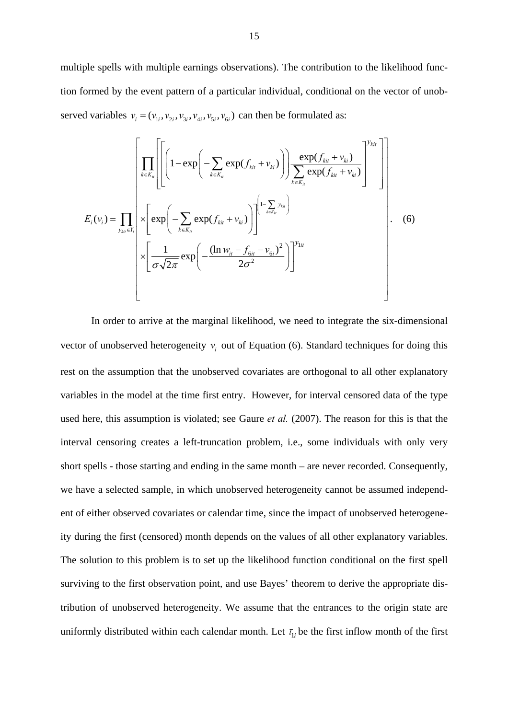multiple spells with multiple earnings observations). The contribution to the likelihood function formed by the event pattern of a particular individual, conditional on the vector of unobserved variables  $v_i = (v_{1i}, v_{2i}, v_{3i}, v_{4i}, v_{5i}, v_{6i})$  can then be formulated as:

$$
E_{i}(v_{i}) = \prod_{y_{ki} \in Y_{i}} \left[ \left( 1 - \exp\left( - \sum_{k \in K_{ii}} \exp(f_{ki} + v_{ki}) \right) \right) \frac{\exp(f_{ki} + v_{ki})}{\sum_{k \in K_{ii}} \exp(f_{ki} + v_{ki})} \right)^{y_{kit}} \right]
$$
  

$$
E_{i}(v_{i}) = \prod_{y_{ki} \in Y_{i}} \times \left[ \exp\left( - \sum_{k \in K_{ii}} \exp(f_{ki} + v_{ki}) \right) \right] \left[ 1 - \sum_{k \in K_{ii}} y_{ki} \right]
$$
  

$$
\times \left[ \frac{1}{\sigma \sqrt{2\pi}} \exp\left( - \frac{(\ln w_{it} - f_{\delta it} - v_{\delta i})^{2}}{2\sigma^{2}} \right) \right]^{y_{lit}}
$$
 (6)

In order to arrive at the marginal likelihood, we need to integrate the six-dimensional vector of unobserved heterogeneity  $v_i$  out of Equation (6). Standard techniques for doing this rest on the assumption that the unobserved covariates are orthogonal to all other explanatory variables in the model at the time first entry. However, for interval censored data of the type used here, this assumption is violated; see Gaure *et al.* (2007). The reason for this is that the interval censoring creates a left-truncation problem, i.e., some individuals with only very short spells - those starting and ending in the same month – are never recorded. Consequently, we have a selected sample, in which unobserved heterogeneity cannot be assumed independent of either observed covariates or calendar time, since the impact of unobserved heterogeneity during the first (censored) month depends on the values of all other explanatory variables. The solution to this problem is to set up the likelihood function conditional on the first spell surviving to the first observation point, and use Bayes' theorem to derive the appropriate distribution of unobserved heterogeneity. We assume that the entrances to the origin state are uniformly distributed within each calendar month. Let  $\bar{t}_{1i}$  be the first inflow month of the first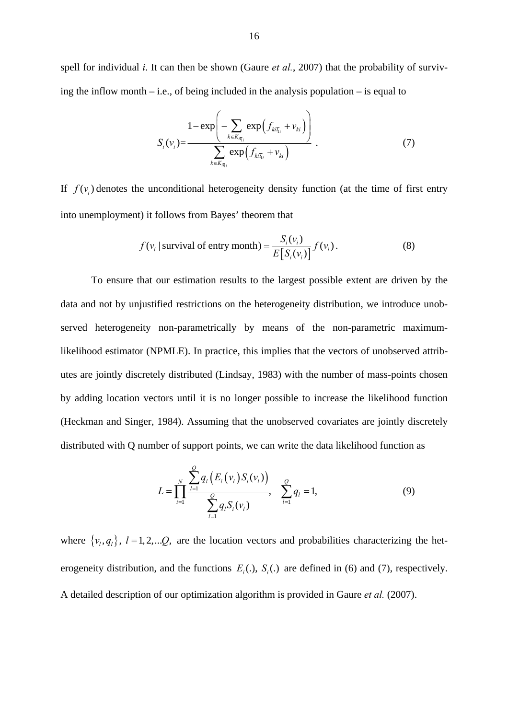spell for individual *i*. It can then be shown (Gaure *et al.*, 2007) that the probability of surviving the inflow month  $-$  i.e., of being included in the analysis population  $-$  is equal to

$$
S_i(v_i) = \frac{1 - \exp\left(-\sum_{k \in K_{i\overline{t_i}}} \exp\left(f_{ki\overline{t_i}} + v_{ki}\right)\right)}{\sum_{k \in K_{i\overline{t_i}}} \exp\left(f_{ki\overline{t_i}} + v_{ki}\right)}.
$$
 (7)

If  $f(v_i)$  denotes the unconditional heterogeneity density function (at the time of first entry into unemployment) it follows from Bayes' theorem that

$$
f(v_i \mid \text{survival of entry month}) = \frac{S_i(v_i)}{E[S_i(v_i)]} f(v_i). \tag{8}
$$

To ensure that our estimation results to the largest possible extent are driven by the data and not by unjustified restrictions on the heterogeneity distribution, we introduce unobserved heterogeneity non-parametrically by means of the non-parametric maximumlikelihood estimator (NPMLE). In practice, this implies that the vectors of unobserved attributes are jointly discretely distributed (Lindsay, 1983) with the number of mass-points chosen by adding location vectors until it is no longer possible to increase the likelihood function (Heckman and Singer, 1984). Assuming that the unobserved covariates are jointly discretely distributed with Q number of support points, we can write the data likelihood function as

$$
L = \prod_{i=1}^{N} \frac{\sum_{l=1}^{Q} q_l (E_i (v_i) S_i (v_i))}{\sum_{l=1}^{Q} q_l S_i (v_l)}, \sum_{l=1}^{Q} q_l = 1,
$$
 (9)

where  $\{v_l, q_l\}$ ,  $l = 1, 2,...Q$ , are the location vectors and probabilities characterizing the heterogeneity distribution, and the functions  $E_i(.)$ ,  $S_i(.)$  are defined in (6) and (7), respectively. A detailed description of our optimization algorithm is provided in Gaure *et al.* (2007).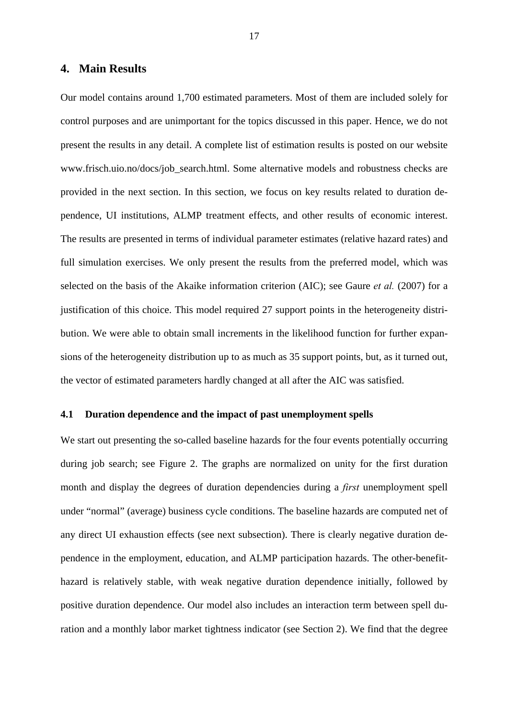# **4. Main Results**

Our model contains around 1,700 estimated parameters. Most of them are included solely for control purposes and are unimportant for the topics discussed in this paper. Hence, we do not present the results in any detail. A complete list of estimation results is posted on our website www.frisch.uio.no/docs/job\_search.html. Some alternative models and robustness checks are provided in the next section. In this section, we focus on key results related to duration dependence, UI institutions, ALMP treatment effects, and other results of economic interest. The results are presented in terms of individual parameter estimates (relative hazard rates) and full simulation exercises. We only present the results from the preferred model, which was selected on the basis of the Akaike information criterion (AIC); see Gaure *et al.* (2007) for a justification of this choice. This model required 27 support points in the heterogeneity distribution. We were able to obtain small increments in the likelihood function for further expansions of the heterogeneity distribution up to as much as 35 support points, but, as it turned out, the vector of estimated parameters hardly changed at all after the AIC was satisfied.

# **4.1 Duration dependence and the impact of past unemployment spells**

We start out presenting the so-called baseline hazards for the four events potentially occurring during job search; see Figure 2. The graphs are normalized on unity for the first duration month and display the degrees of duration dependencies during a *first* unemployment spell under "normal" (average) business cycle conditions. The baseline hazards are computed net of any direct UI exhaustion effects (see next subsection). There is clearly negative duration dependence in the employment, education, and ALMP participation hazards. The other-benefithazard is relatively stable, with weak negative duration dependence initially, followed by positive duration dependence. Our model also includes an interaction term between spell duration and a monthly labor market tightness indicator (see Section 2). We find that the degree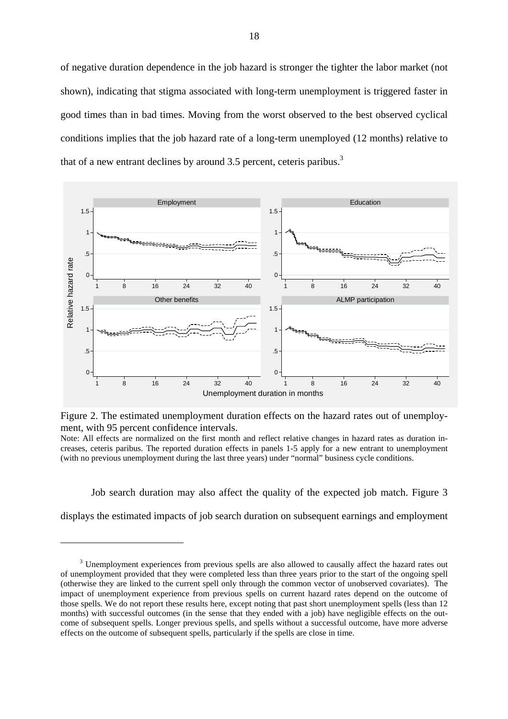of negative duration dependence in the job hazard is stronger the tighter the labor market (not shown), indicating that stigma associated with long-term unemployment is triggered faster in good times than in bad times. Moving from the worst observed to the best observed cyclical conditions implies that the job hazard rate of a long-term unemployed (12 months) relative to that of a new entrant declines by around 3.5 percent, ceteris paribus.<sup>3</sup>



Figure 2. The estimated unemployment duration effects on the hazard rates out of unemployment, with 95 percent confidence intervals.

Note: All effects are normalized on the first month and reflect relative changes in hazard rates as duration increases, ceteris paribus. The reported duration effects in panels 1-5 apply for a new entrant to unemployment (with no previous unemployment during the last three years) under "normal" business cycle conditions.

 Job search duration may also affect the quality of the expected job match. Figure 3 displays the estimated impacts of job search duration on subsequent earnings and employment

 $\overline{a}$ 

<sup>&</sup>lt;sup>3</sup> Unemployment experiences from previous spells are also allowed to causally affect the hazard rates out of unemployment provided that they were completed less than three years prior to the start of the ongoing spell (otherwise they are linked to the current spell only through the common vector of unobserved covariates). The impact of unemployment experience from previous spells on current hazard rates depend on the outcome of those spells. We do not report these results here, except noting that past short unemployment spells (less than 12 months) with successful outcomes (in the sense that they ended with a job) have negligible effects on the outcome of subsequent spells. Longer previous spells, and spells without a successful outcome, have more adverse effects on the outcome of subsequent spells, particularly if the spells are close in time.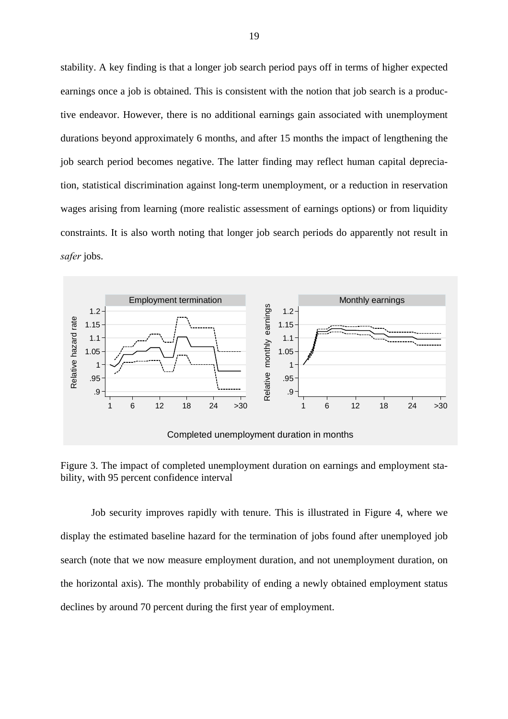stability. A key finding is that a longer job search period pays off in terms of higher expected earnings once a job is obtained. This is consistent with the notion that job search is a productive endeavor. However, there is no additional earnings gain associated with unemployment durations beyond approximately 6 months, and after 15 months the impact of lengthening the job search period becomes negative. The latter finding may reflect human capital depreciation, statistical discrimination against long-term unemployment, or a reduction in reservation wages arising from learning (more realistic assessment of earnings options) or from liquidity constraints. It is also worth noting that longer job search periods do apparently not result in *safer* jobs.



Figure 3. The impact of completed unemployment duration on earnings and employment stability, with 95 percent confidence interval

Job security improves rapidly with tenure. This is illustrated in Figure 4, where we display the estimated baseline hazard for the termination of jobs found after unemployed job search (note that we now measure employment duration, and not unemployment duration, on the horizontal axis). The monthly probability of ending a newly obtained employment status declines by around 70 percent during the first year of employment.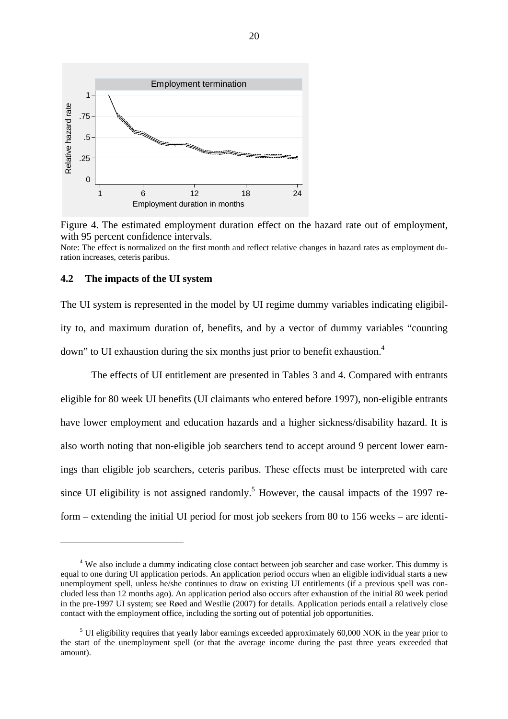

Figure 4. The estimated employment duration effect on the hazard rate out of employment, with 95 percent confidence intervals.

Note: The effect is normalized on the first month and reflect relative changes in hazard rates as employment duration increases, ceteris paribus.

# **4.2 The impacts of the UI system**

 $\overline{a}$ 

The UI system is represented in the model by UI regime dummy variables indicating eligibility to, and maximum duration of, benefits, and by a vector of dummy variables "counting down" to UI exhaustion during the six months just prior to benefit exhaustion.<sup>4</sup>

The effects of UI entitlement are presented in Tables 3 and 4. Compared with entrants eligible for 80 week UI benefits (UI claimants who entered before 1997), non-eligible entrants have lower employment and education hazards and a higher sickness/disability hazard. It is also worth noting that non-eligible job searchers tend to accept around 9 percent lower earnings than eligible job searchers, ceteris paribus. These effects must be interpreted with care since UI eligibility is not assigned randomly.<sup>5</sup> However, the causal impacts of the 1997 reform – extending the initial UI period for most job seekers from 80 to 156 weeks – are identi-

<sup>&</sup>lt;sup>4</sup> We also include a dummy indicating close contact between job searcher and case worker. This dummy is equal to one during UI application periods. An application period occurs when an eligible individual starts a new unemployment spell, unless he/she continues to draw on existing UI entitlements (if a previous spell was concluded less than 12 months ago). An application period also occurs after exhaustion of the initial 80 week period in the pre-1997 UI system; see Røed and Westlie (2007) for details. Application periods entail a relatively close contact with the employment office, including the sorting out of potential job opportunities.

<sup>&</sup>lt;sup>5</sup> UI eligibility requires that yearly labor earnings exceeded approximately 60,000 NOK in the year prior to the start of the unemployment spell (or that the average income during the past three years exceeded that amount).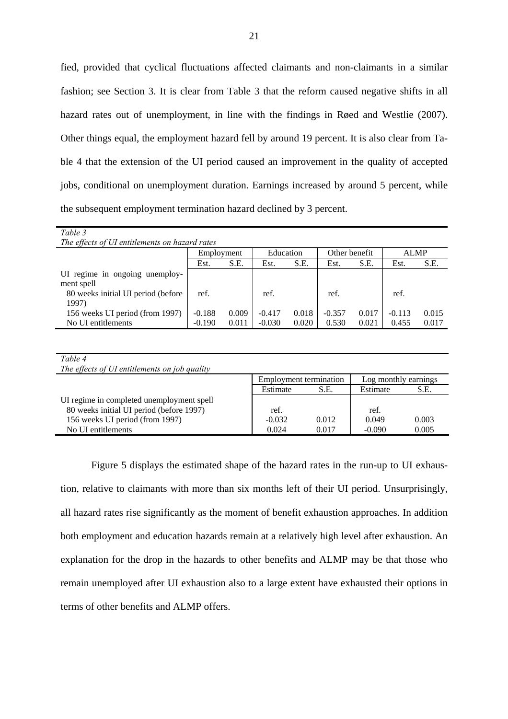fied, provided that cyclical fluctuations affected claimants and non-claimants in a similar fashion; see Section 3. It is clear from Table 3 that the reform caused negative shifts in all hazard rates out of unemployment, in line with the findings in Røed and Westlie (2007). Other things equal, the employment hazard fell by around 19 percent. It is also clear from Table 4 that the extension of the UI period caused an improvement in the quality of accepted jobs, conditional on unemployment duration. Earnings increased by around 5 percent, while the subsequent employment termination hazard declined by 3 percent.

| Table 3                                      |                                                         |       |          |       |          |       |          |       |  |
|----------------------------------------------|---------------------------------------------------------|-------|----------|-------|----------|-------|----------|-------|--|
|                                              | The effects of UI entitlements on hazard rates          |       |          |       |          |       |          |       |  |
|                                              | Other benefit<br><b>ALMP</b><br>Education<br>Employment |       |          |       |          |       |          |       |  |
|                                              | Est.                                                    | S.E.  | Est.     | S.E.  | Est.     | S.E.  | Est.     | S.E.  |  |
| UI regime in ongoing unemploy-<br>ment spell |                                                         |       |          |       |          |       |          |       |  |
| 80 weeks initial UI period (before<br>1997)  | ref.                                                    |       | ref.     |       | ref.     |       | ref.     |       |  |
| 156 weeks UI period (from 1997)              | $-0.188$                                                | 0.009 | $-0.417$ | 0.018 | $-0.357$ | 0.017 | $-0.113$ | 0.015 |  |
| No UI entitlements                           | $-0.190$                                                | 0.011 | $-0.030$ | 0.020 | 0.530    | 0.021 | 0.455    | 0.017 |  |

| Table 4                                       |                               |       |                      |       |
|-----------------------------------------------|-------------------------------|-------|----------------------|-------|
| The effects of UI entitlements on job quality |                               |       |                      |       |
|                                               | <b>Employment termination</b> |       | Log monthly earnings |       |
|                                               | Estimate                      | S.E.  | Estimate             | S.E.  |
| UI regime in completed unemployment spell     |                               |       |                      |       |
| 80 weeks initial UI period (before 1997)      | ref.                          |       | ref.                 |       |
| 156 weeks UI period (from 1997)               | $-0.032$                      | 0.012 | 0.049                | 0.003 |
| No UI entitlements                            | 0.024                         | 0.017 | $-0.090$             | 0.005 |

Figure 5 displays the estimated shape of the hazard rates in the run-up to UI exhaustion, relative to claimants with more than six months left of their UI period. Unsurprisingly, all hazard rates rise significantly as the moment of benefit exhaustion approaches. In addition both employment and education hazards remain at a relatively high level after exhaustion. An explanation for the drop in the hazards to other benefits and ALMP may be that those who remain unemployed after UI exhaustion also to a large extent have exhausted their options in terms of other benefits and ALMP offers.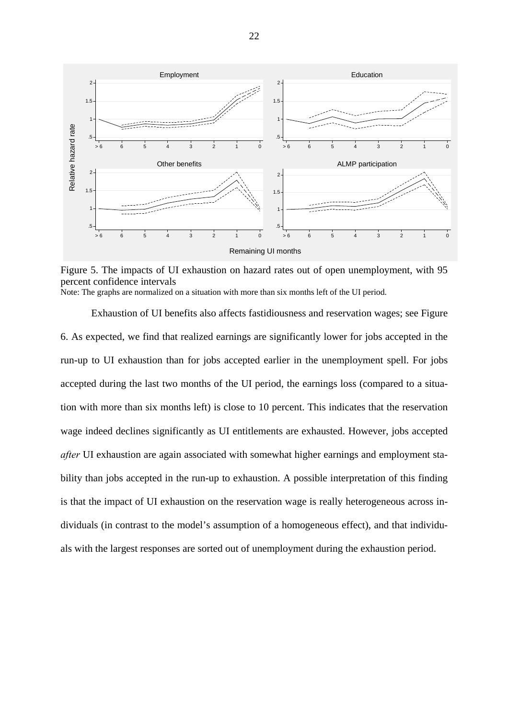

Figure 5. The impacts of UI exhaustion on hazard rates out of open unemployment, with 95 percent confidence intervals Note: The graphs are normalized on a situation with more than six months left of the UI period.

 Exhaustion of UI benefits also affects fastidiousness and reservation wages; see Figure 6. As expected, we find that realized earnings are significantly lower for jobs accepted in the run-up to UI exhaustion than for jobs accepted earlier in the unemployment spell. For jobs accepted during the last two months of the UI period, the earnings loss (compared to a situation with more than six months left) is close to 10 percent. This indicates that the reservation wage indeed declines significantly as UI entitlements are exhausted. However, jobs accepted *after* UI exhaustion are again associated with somewhat higher earnings and employment stability than jobs accepted in the run-up to exhaustion. A possible interpretation of this finding is that the impact of UI exhaustion on the reservation wage is really heterogeneous across individuals (in contrast to the model's assumption of a homogeneous effect), and that individuals with the largest responses are sorted out of unemployment during the exhaustion period.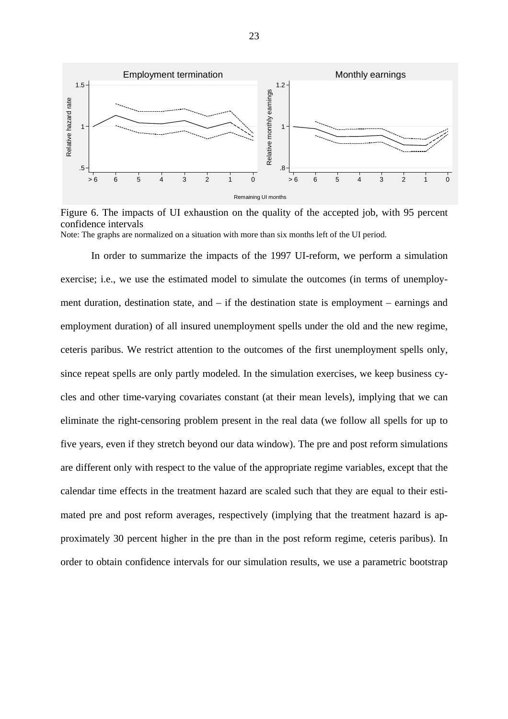

Figure 6. The impacts of UI exhaustion on the quality of the accepted job, with 95 percent confidence intervals Note: The graphs are normalized on a situation with more than six months left of the UI period.

 In order to summarize the impacts of the 1997 UI-reform, we perform a simulation exercise; i.e., we use the estimated model to simulate the outcomes (in terms of unemployment duration, destination state, and – if the destination state is employment – earnings and employment duration) of all insured unemployment spells under the old and the new regime, ceteris paribus. We restrict attention to the outcomes of the first unemployment spells only, since repeat spells are only partly modeled. In the simulation exercises, we keep business cycles and other time-varying covariates constant (at their mean levels), implying that we can eliminate the right-censoring problem present in the real data (we follow all spells for up to five years, even if they stretch beyond our data window). The pre and post reform simulations are different only with respect to the value of the appropriate regime variables, except that the calendar time effects in the treatment hazard are scaled such that they are equal to their estimated pre and post reform averages, respectively (implying that the treatment hazard is approximately 30 percent higher in the pre than in the post reform regime, ceteris paribus). In order to obtain confidence intervals for our simulation results, we use a parametric bootstrap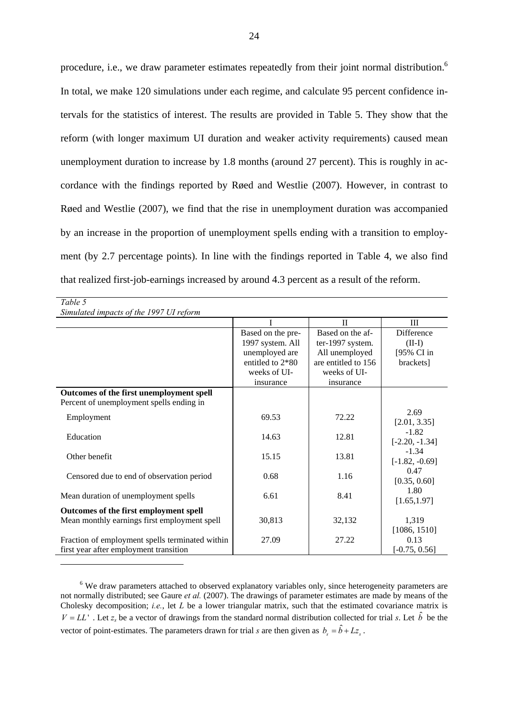procedure, i.e., we draw parameter estimates repeatedly from their joint normal distribution.<sup>6</sup> In total, we make 120 simulations under each regime, and calculate 95 percent confidence intervals for the statistics of interest. The results are provided in Table 5. They show that the reform (with longer maximum UI duration and weaker activity requirements) caused mean unemployment duration to increase by 1.8 months (around 27 percent). This is roughly in accordance with the findings reported by Røed and Westlie (2007). However, in contrast to Røed and Westlie (2007), we find that the rise in unemployment duration was accompanied by an increase in the proportion of unemployment spells ending with a transition to employment (by 2.7 percentage points). In line with the findings reported in Table 4, we also find that realized first-job-earnings increased by around 4.3 percent as a result of the reform.

| Table 5                                         |                   |                     |                   |
|-------------------------------------------------|-------------------|---------------------|-------------------|
| Simulated impacts of the 1997 UI reform         |                   |                     |                   |
|                                                 |                   | $\Pi$               | III               |
|                                                 | Based on the pre- | Based on the af-    | <b>Difference</b> |
|                                                 | 1997 system. All  | ter-1997 system.    | $(II-I)$          |
|                                                 | unemployed are    | All unemployed      | [95% CI in]       |
|                                                 | entitled to 2*80  | are entitled to 156 | brackets]         |
|                                                 | weeks of UI-      | weeks of UI-        |                   |
|                                                 | insurance         | insurance           |                   |
| Outcomes of the first unemployment spell        |                   |                     |                   |
| Percent of unemployment spells ending in        |                   |                     |                   |
|                                                 | 69.53             | 72.22               | 2.69              |
| Employment                                      |                   |                     | [2.01, 3.35]      |
| Education                                       | 14.63             | 12.81               | $-1.82$           |
|                                                 |                   |                     | $[-2.20, -1.34]$  |
| Other benefit                                   | 15.15             | 13.81               | $-1.34$           |
|                                                 |                   |                     | $[-1.82, -0.69]$  |
| Censored due to end of observation period       | 0.68              | 1.16                | 0.47              |
|                                                 |                   |                     | [0.35, 0.60]      |
| Mean duration of unemployment spells            | 6.61              | 8.41                | 1.80              |
|                                                 |                   |                     | [1.65, 1.97]      |
| Outcomes of the first employment spell          |                   |                     |                   |
| Mean monthly earnings first employment spell    | 30,813            | 32,132              | 1,319             |
|                                                 |                   |                     | [1086, 1510]      |
| Fraction of employment spells terminated within | 27.09             | 27.22               | 0.13              |
| first year after employment transition          |                   |                     | $[-0.75, 0.56]$   |

<sup>6</sup> We draw parameters attached to observed explanatory variables only, since heterogeneity parameters are not normally distributed; see Gaure *et al.* (2007). The drawings of parameter estimates are made by means of the Cholesky decomposition; *i.e.*, let *L* be a lower triangular matrix, such that the estimated covariance matrix is  $V = LL'$ . Let  $z_s$  be a vector of drawings from the standard normal distribution collected for trial *s*. Let  $\hat{b}$  be the vector of point-estimates. The parameters drawn for trial *s* are then given as  $b_s = \hat{b} + Lz_s$ .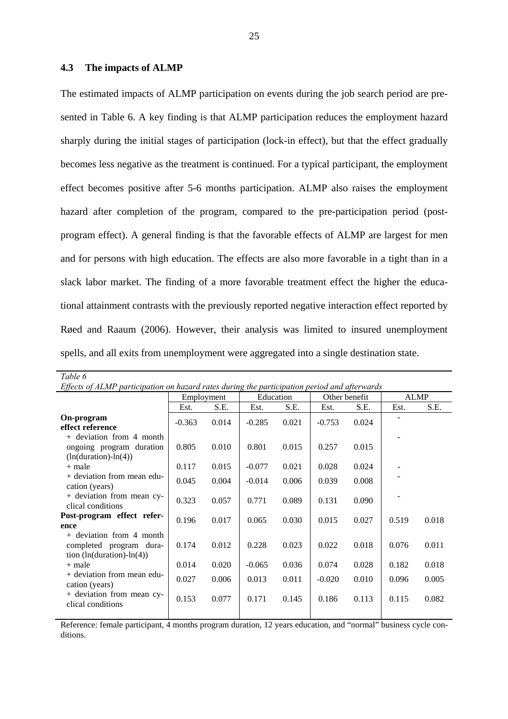### **4.3 The impacts of ALMP**

The estimated impacts of ALMP participation on events during the job search period are presented in Table 6. A key finding is that ALMP participation reduces the employment hazard sharply during the initial stages of participation (lock-in effect), but that the effect gradually becomes less negative as the treatment is continued. For a typical participant, the employment effect becomes positive after 5-6 months participation. ALMP also raises the employment hazard after completion of the program, compared to the pre-participation period (postprogram effect). A general finding is that the favorable effects of ALMP are largest for men and for persons with high education. The effects are also more favorable in a tight than in a slack labor market. The finding of a more favorable treatment effect the higher the educational attainment contrasts with the previously reported negative interaction effect reported by Røed and Raaum (2006). However, their analysis was limited to insured unemployment spells, and all exits from unemployment were aggregated into a single destination state.

| Table 6                                                                                      |            |       |           |       |               |       |             |       |
|----------------------------------------------------------------------------------------------|------------|-------|-----------|-------|---------------|-------|-------------|-------|
| Effects of ALMP participation on hazard rates during the participation period and afterwards |            |       |           |       |               |       |             |       |
|                                                                                              | Employment |       | Education |       | Other benefit |       | <b>ALMP</b> |       |
|                                                                                              | Est.       | S.E.  | Est.      | S.E.  | Est.          | S.E.  | Est.        | S.E.  |
| On-program<br>effect reference                                                               | $-0.363$   | 0.014 | $-0.285$  | 0.021 | $-0.753$      | 0.024 |             |       |
| $+$ deviation from 4 month<br>ongoing program duration<br>$(ln(duration) - ln(4))$           | 0.805      | 0.010 | 0.801     | 0.015 | 0.257         | 0.015 |             |       |
| $+$ male                                                                                     | 0.117      | 0.015 | $-0.077$  | 0.021 | 0.028         | 0.024 |             |       |
| + deviation from mean edu-<br>cation (years)                                                 | 0.045      | 0.004 | $-0.014$  | 0.006 | 0.039         | 0.008 |             |       |
| + deviation from mean cy-<br>clical conditions                                               | 0.323      | 0.057 | 0.771     | 0.089 | 0.131         | 0.090 |             |       |
| Post-program effect refer-<br>ence                                                           | 0.196      | 0.017 | 0.065     | 0.030 | 0.015         | 0.027 | 0.519       | 0.018 |
| $+$ deviation from 4 month<br>completed program dura-<br>tion $(ln(duration) - ln(4))$       | 0.174      | 0.012 | 0.228     | 0.023 | 0.022         | 0.018 | 0.076       | 0.011 |
| $+$ male                                                                                     | 0.014      | 0.020 | $-0.065$  | 0.036 | 0.074         | 0.028 | 0.182       | 0.018 |
| + deviation from mean edu-<br>cation (years)                                                 | 0.027      | 0.006 | 0.013     | 0.011 | $-0.020$      | 0.010 | 0.096       | 0.005 |
| + deviation from mean cy-<br>clical conditions                                               | 0.153      | 0.077 | 0.171     | 0.145 | 0.186         | 0.113 | 0.115       | 0.082 |
|                                                                                              |            |       |           |       |               |       |             |       |

Reference: female participant, 4 months program duration, 12 years education, and "normal" business cycle conditions.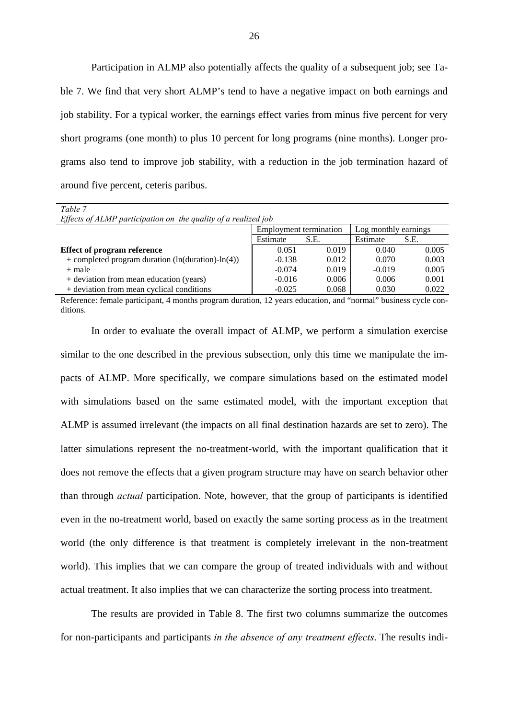Participation in ALMP also potentially affects the quality of a subsequent job; see Table 7. We find that very short ALMP's tend to have a negative impact on both earnings and job stability. For a typical worker, the earnings effect varies from minus five percent for very short programs (one month) to plus 10 percent for long programs (nine months). Longer programs also tend to improve job stability, with a reduction in the job termination hazard of around five percent, ceteris paribus.

| Table 7                                                        |                               |       |                      |       |  |  |  |  |
|----------------------------------------------------------------|-------------------------------|-------|----------------------|-------|--|--|--|--|
| Effects of ALMP participation on the quality of a realized job |                               |       |                      |       |  |  |  |  |
|                                                                | <b>Employment termination</b> |       | Log monthly earnings |       |  |  |  |  |
|                                                                | Estimate                      | S.E.  | Estimate             | S.E.  |  |  |  |  |
| <b>Effect of program reference</b>                             | 0.051                         | 0.019 | 0.040                | 0.005 |  |  |  |  |
| + completed program duration $(ln(duration) - ln(4))$          | $-0.138$                      | 0.012 | 0.070                | 0.003 |  |  |  |  |
| $+$ male                                                       | $-0.074$                      | 0.019 | $-0.019$             | 0.005 |  |  |  |  |
| + deviation from mean education (years)                        | $-0.016$                      | 0.006 | 0.006                | 0.001 |  |  |  |  |
| + deviation from mean cyclical conditions                      | $-0.025$                      | 0.068 | 0.030                | 0.022 |  |  |  |  |

Reference: female participant, 4 months program duration, 12 years education, and "normal" business cycle conditions.

 In order to evaluate the overall impact of ALMP, we perform a simulation exercise similar to the one described in the previous subsection, only this time we manipulate the impacts of ALMP. More specifically, we compare simulations based on the estimated model with simulations based on the same estimated model, with the important exception that ALMP is assumed irrelevant (the impacts on all final destination hazards are set to zero). The latter simulations represent the no-treatment-world, with the important qualification that it does not remove the effects that a given program structure may have on search behavior other than through *actual* participation. Note, however, that the group of participants is identified even in the no-treatment world, based on exactly the same sorting process as in the treatment world (the only difference is that treatment is completely irrelevant in the non-treatment world). This implies that we can compare the group of treated individuals with and without actual treatment. It also implies that we can characterize the sorting process into treatment.

The results are provided in Table 8. The first two columns summarize the outcomes for non-participants and participants *in the absence of any treatment effects*. The results indi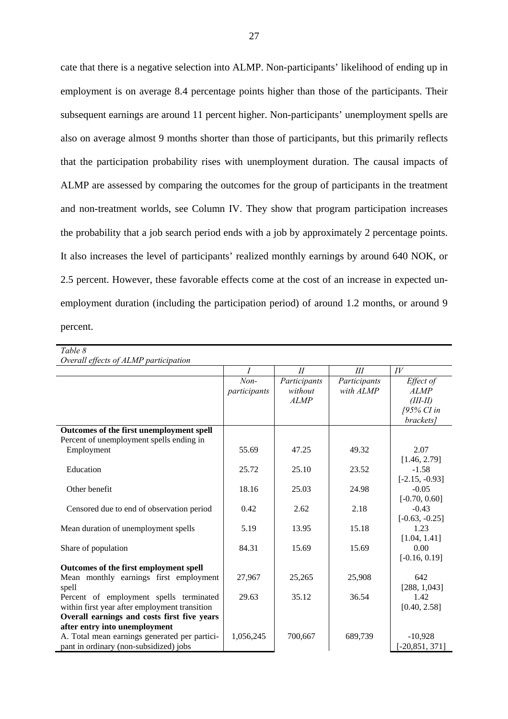cate that there is a negative selection into ALMP. Non-participants' likelihood of ending up in employment is on average 8.4 percentage points higher than those of the participants. Their subsequent earnings are around 11 percent higher. Non-participants' unemployment spells are also on average almost 9 months shorter than those of participants, but this primarily reflects that the participation probability rises with unemployment duration. The causal impacts of ALMP are assessed by comparing the outcomes for the group of participants in the treatment and non-treatment worlds, see Column IV. They show that program participation increases the probability that a job search period ends with a job by approximately 2 percentage points. It also increases the level of participants' realized monthly earnings by around 640 NOK, or 2.5 percent. However, these favorable effects come at the cost of an increase in expected unemployment duration (including the participation period) of around 1.2 months, or around 9 percent.

| Table 8                                       |                        |                                        |                           |                                                                   |
|-----------------------------------------------|------------------------|----------------------------------------|---------------------------|-------------------------------------------------------------------|
| Overall effects of ALMP participation         |                        |                                        |                           |                                                                   |
|                                               | $\overline{I}$         | I                                      | III                       | IV                                                                |
|                                               | $Non-$<br>participants | Participants<br>without<br><b>ALMP</b> | Participants<br>with ALMP | Effect of<br><b>ALMP</b><br>$(III-II)$<br>[95% CI in<br>brackets] |
| Outcomes of the first unemployment spell      |                        |                                        |                           |                                                                   |
| Percent of unemployment spells ending in      |                        |                                        |                           |                                                                   |
| Employment                                    | 55.69                  | 47.25                                  | 49.32                     | 2.07                                                              |
|                                               |                        |                                        |                           | [1.46, 2.79]                                                      |
| Education                                     | 25.72                  | 25.10                                  | 23.52                     | $-1.58$                                                           |
|                                               |                        |                                        |                           | $[-2.15, -0.93]$                                                  |
| Other benefit                                 | 18.16                  | 25.03                                  | 24.98                     | $-0.05$                                                           |
|                                               |                        |                                        |                           | $[-0.70, 0.60]$                                                   |
| Censored due to end of observation period     | 0.42                   | 2.62                                   | 2.18                      | $-0.43$                                                           |
|                                               |                        |                                        |                           | $[-0.63, -0.25]$                                                  |
| Mean duration of unemployment spells          | 5.19                   | 13.95                                  | 15.18                     | 1.23                                                              |
|                                               |                        |                                        |                           | [1.04, 1.41]                                                      |
| Share of population                           | 84.31                  | 15.69                                  | 15.69                     | 0.00                                                              |
|                                               |                        |                                        |                           | $[-0.16, 0.19]$                                                   |
| Outcomes of the first employment spell        |                        |                                        |                           |                                                                   |
| Mean monthly earnings first employment        | 27,967                 | 25,265                                 | 25,908                    | 642                                                               |
| spell                                         |                        |                                        |                           | [288, 1,043]                                                      |
| Percent of employment spells terminated       | 29.63                  | 35.12                                  | 36.54                     | 1.42                                                              |
| within first year after employment transition |                        |                                        |                           | [0.40, 2.58]                                                      |
| Overall earnings and costs first five years   |                        |                                        |                           |                                                                   |
| after entry into unemployment                 |                        |                                        |                           |                                                                   |
| A. Total mean earnings generated per partici- | 1,056,245              | 700,667                                | 689,739                   | $-10,928$                                                         |
| pant in ordinary (non-subsidized) jobs        |                        |                                        |                           | $[-20, 851, 371]$                                                 |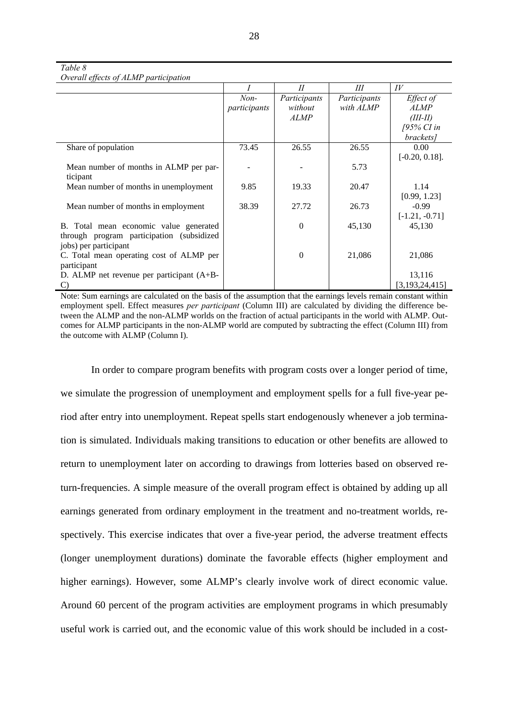28

#### *Table 8*

*Overall effects of ALMP participation* 

|                                             |              | II               | Ш            | IV                |
|---------------------------------------------|--------------|------------------|--------------|-------------------|
|                                             | $Non-$       | Participants     | Participants | Effect of         |
|                                             | participants | without          | with ALMP    | <b>ALMP</b>       |
|                                             |              | <b>ALMP</b>      |              | $(III-II)$        |
|                                             |              |                  |              | [95% CI in        |
|                                             |              |                  |              | brackets]         |
| Share of population                         | 73.45        | 26.55            | 26.55        | 0.00              |
|                                             |              |                  |              | $[-0.20, 0.18]$ . |
| Mean number of months in ALMP per par-      |              |                  | 5.73         |                   |
| ticipant                                    |              |                  |              |                   |
| Mean number of months in unemployment       | 9.85         | 19.33            | 20.47        | 1.14              |
|                                             |              |                  |              | [0.99, 1.23]      |
| Mean number of months in employment         | 38.39        | 27.72            | 26.73        | $-0.99$           |
|                                             |              |                  |              | $[-1.21, -0.71]$  |
| B. Total mean economic value generated      |              | $\boldsymbol{0}$ | 45,130       | 45,130            |
| through program participation (subsidized   |              |                  |              |                   |
| jobs) per participant                       |              |                  |              |                   |
| C. Total mean operating cost of ALMP per    |              | $\theta$         | 21,086       | 21,086            |
| participant                                 |              |                  |              |                   |
| D. ALMP net revenue per participant $(A+B-$ |              |                  |              | 13,116            |
| $\mathcal{C}$                               |              |                  |              | [3, 193, 24, 415] |

Note: Sum earnings are calculated on the basis of the assumption that the earnings levels remain constant within employment spell. Effect measures *per participant* (Column III) are calculated by dividing the difference between the ALMP and the non-ALMP worlds on the fraction of actual participants in the world with ALMP. Outcomes for ALMP participants in the non-ALMP world are computed by subtracting the effect (Column III) from the outcome with ALMP (Column I).

 In order to compare program benefits with program costs over a longer period of time, we simulate the progression of unemployment and employment spells for a full five-year period after entry into unemployment. Repeat spells start endogenously whenever a job termination is simulated. Individuals making transitions to education or other benefits are allowed to return to unemployment later on according to drawings from lotteries based on observed return-frequencies. A simple measure of the overall program effect is obtained by adding up all earnings generated from ordinary employment in the treatment and no-treatment worlds, respectively. This exercise indicates that over a five-year period, the adverse treatment effects (longer unemployment durations) dominate the favorable effects (higher employment and higher earnings). However, some ALMP's clearly involve work of direct economic value. Around 60 percent of the program activities are employment programs in which presumably useful work is carried out, and the economic value of this work should be included in a cost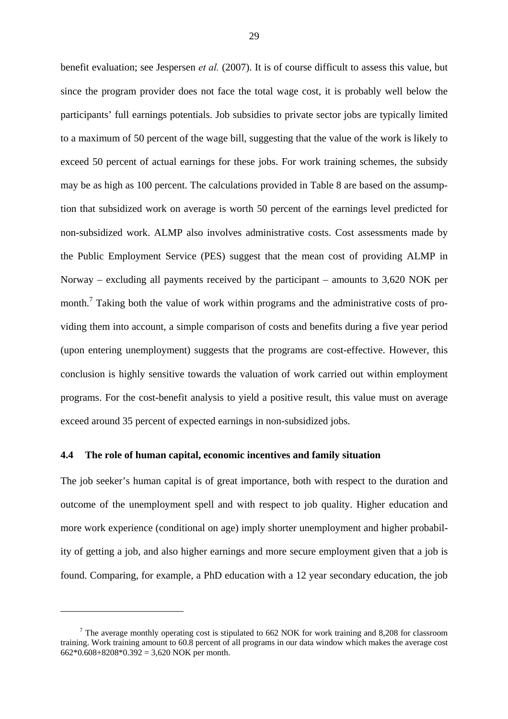benefit evaluation; see Jespersen *et al.* (2007). It is of course difficult to assess this value, but since the program provider does not face the total wage cost, it is probably well below the participants' full earnings potentials. Job subsidies to private sector jobs are typically limited to a maximum of 50 percent of the wage bill, suggesting that the value of the work is likely to exceed 50 percent of actual earnings for these jobs. For work training schemes, the subsidy may be as high as 100 percent. The calculations provided in Table 8 are based on the assumption that subsidized work on average is worth 50 percent of the earnings level predicted for non-subsidized work. ALMP also involves administrative costs. Cost assessments made by the Public Employment Service (PES) suggest that the mean cost of providing ALMP in Norway – excluding all payments received by the participant – amounts to 3,620 NOK per month.<sup>7</sup> Taking both the value of work within programs and the administrative costs of providing them into account, a simple comparison of costs and benefits during a five year period (upon entering unemployment) suggests that the programs are cost-effective. However, this conclusion is highly sensitive towards the valuation of work carried out within employment programs. For the cost-benefit analysis to yield a positive result, this value must on average exceed around 35 percent of expected earnings in non-subsidized jobs.

### **4.4 The role of human capital, economic incentives and family situation**

 $\overline{a}$ 

The job seeker's human capital is of great importance, both with respect to the duration and outcome of the unemployment spell and with respect to job quality. Higher education and more work experience (conditional on age) imply shorter unemployment and higher probability of getting a job, and also higher earnings and more secure employment given that a job is found. Comparing, for example, a PhD education with a 12 year secondary education, the job

 $7$  The average monthly operating cost is stipulated to 662 NOK for work training and 8,208 for classroom training. Work training amount to 60.8 percent of all programs in our data window which makes the average cost  $662*0.608+8208*0.392 = 3,620$  NOK per month.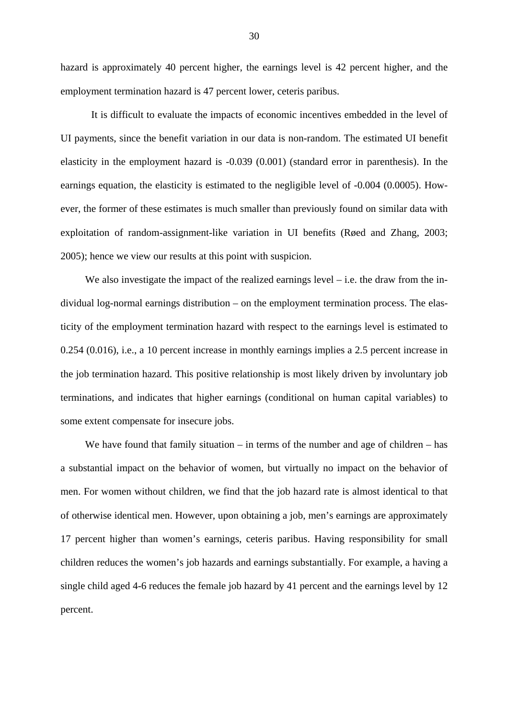hazard is approximately 40 percent higher, the earnings level is 42 percent higher, and the employment termination hazard is 47 percent lower, ceteris paribus.

It is difficult to evaluate the impacts of economic incentives embedded in the level of UI payments, since the benefit variation in our data is non-random. The estimated UI benefit elasticity in the employment hazard is -0.039 (0.001) (standard error in parenthesis). In the earnings equation, the elasticity is estimated to the negligible level of -0.004 (0.0005). However, the former of these estimates is much smaller than previously found on similar data with exploitation of random-assignment-like variation in UI benefits (Røed and Zhang, 2003; 2005); hence we view our results at this point with suspicion.

We also investigate the impact of the realized earnings level  $-$  i.e. the draw from the individual log-normal earnings distribution – on the employment termination process. The elasticity of the employment termination hazard with respect to the earnings level is estimated to 0.254 (0.016), i.e., a 10 percent increase in monthly earnings implies a 2.5 percent increase in the job termination hazard. This positive relationship is most likely driven by involuntary job terminations, and indicates that higher earnings (conditional on human capital variables) to some extent compensate for insecure jobs.

We have found that family situation – in terms of the number and age of children – has a substantial impact on the behavior of women, but virtually no impact on the behavior of men. For women without children, we find that the job hazard rate is almost identical to that of otherwise identical men. However, upon obtaining a job, men's earnings are approximately 17 percent higher than women's earnings, ceteris paribus. Having responsibility for small children reduces the women's job hazards and earnings substantially. For example, a having a single child aged 4-6 reduces the female job hazard by 41 percent and the earnings level by 12 percent.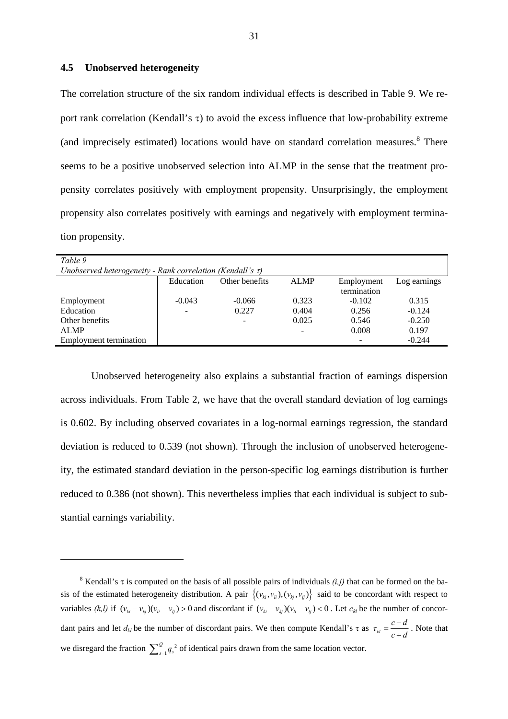# **4.5 Unobserved heterogeneity**

 $\overline{a}$ 

The correlation structure of the six random individual effects is described in Table 9. We report rank correlation (Kendall's  $\tau$ ) to avoid the excess influence that low-probability extreme (and imprecisely estimated) locations would have on standard correlation measures.<sup>8</sup> There seems to be a positive unobserved selection into ALMP in the sense that the treatment propensity correlates positively with employment propensity. Unsurprisingly, the employment propensity also correlates positively with earnings and negatively with employment termination propensity.

| Table 9                                                         |           |                |             |                           |              |  |  |  |
|-----------------------------------------------------------------|-----------|----------------|-------------|---------------------------|--------------|--|--|--|
| Unobserved heterogeneity - Rank correlation (Kendall's $\tau$ ) |           |                |             |                           |              |  |  |  |
|                                                                 | Education | Other benefits | <b>ALMP</b> | Employment<br>termination | Log earnings |  |  |  |
| Employment                                                      | $-0.043$  | $-0.066$       | 0.323       | $-0.102$                  | 0.315        |  |  |  |
| Education                                                       |           | 0.227          | 0.404       | 0.256                     | $-0.124$     |  |  |  |
| Other benefits                                                  |           |                | 0.025       | 0.546                     | $-0.250$     |  |  |  |
| <b>ALMP</b>                                                     |           |                |             | 0.008                     | 0.197        |  |  |  |
| <b>Employment termination</b>                                   |           |                |             |                           | $-0.244$     |  |  |  |

 Unobserved heterogeneity also explains a substantial fraction of earnings dispersion across individuals. From Table 2, we have that the overall standard deviation of log earnings is 0.602. By including observed covariates in a log-normal earnings regression, the standard deviation is reduced to 0.539 (not shown). Through the inclusion of unobserved heterogeneity, the estimated standard deviation in the person-specific log earnings distribution is further reduced to 0.386 (not shown). This nevertheless implies that each individual is subject to substantial earnings variability.

<sup>&</sup>lt;sup>8</sup> Kendall's  $\tau$  is computed on the basis of all possible pairs of individuals  $(i,j)$  that can be formed on the basis of the estimated heterogeneity distribution. A pair  $\{(v_{ki}, v_{li}), (v_{ki}, v_{li})\}$  said to be concordant with respect to variables  $(k, l)$  if  $(v_{ki} - v_{kj})(v_{li} - v_{lj}) > 0$  and discordant if  $(v_{ki} - v_{kj})(v_{li} - v_{lj}) < 0$ . Let  $c_{kl}$  be the number of concordant pairs and let  $d_{kl}$  be the number of discordant pairs. We then compute Kendall's  $\tau$  as  $\tau_{kl} = \frac{c - d}{d}$  $\tau_{kl} = \frac{c - d}{c + d}$ . Note that we disregard the fraction  $\sum_{s=1}^{Q} q_s^2$  $\sum_{s=1}^{Q} q_s^2$  of identical pairs drawn from the same location vector.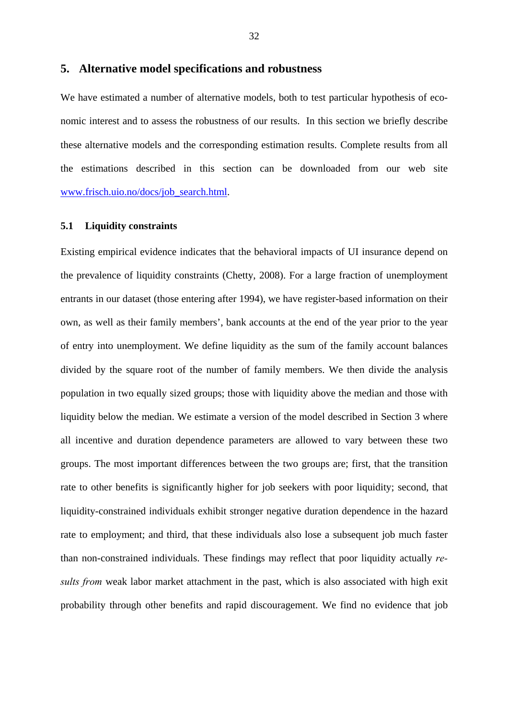# **5. Alternative model specifications and robustness**

We have estimated a number of alternative models, both to test particular hypothesis of economic interest and to assess the robustness of our results. In this section we briefly describe these alternative models and the corresponding estimation results. Complete results from all the estimations described in this section can be downloaded from our web site www.frisch.uio.no/docs/job\_search.html.

# **5.1 Liquidity constraints**

Existing empirical evidence indicates that the behavioral impacts of UI insurance depend on the prevalence of liquidity constraints (Chetty, 2008). For a large fraction of unemployment entrants in our dataset (those entering after 1994), we have register-based information on their own, as well as their family members', bank accounts at the end of the year prior to the year of entry into unemployment. We define liquidity as the sum of the family account balances divided by the square root of the number of family members. We then divide the analysis population in two equally sized groups; those with liquidity above the median and those with liquidity below the median. We estimate a version of the model described in Section 3 where all incentive and duration dependence parameters are allowed to vary between these two groups. The most important differences between the two groups are; first, that the transition rate to other benefits is significantly higher for job seekers with poor liquidity; second, that liquidity-constrained individuals exhibit stronger negative duration dependence in the hazard rate to employment; and third, that these individuals also lose a subsequent job much faster than non-constrained individuals. These findings may reflect that poor liquidity actually *results from* weak labor market attachment in the past, which is also associated with high exit probability through other benefits and rapid discouragement. We find no evidence that job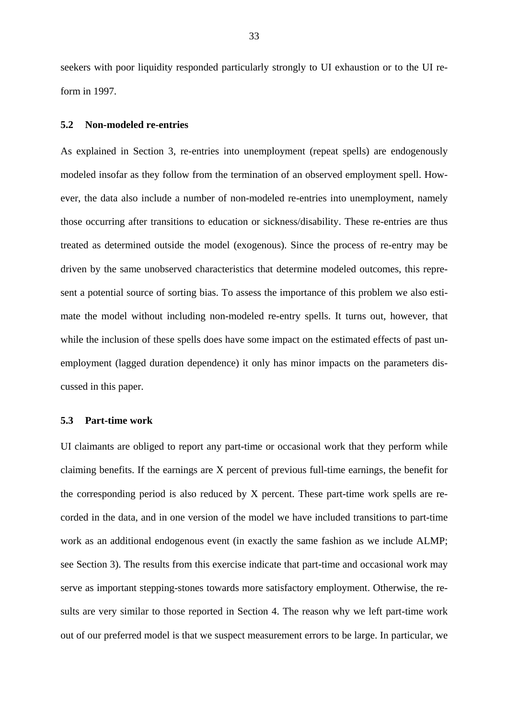seekers with poor liquidity responded particularly strongly to UI exhaustion or to the UI reform in 1997.

### **5.2 Non-modeled re-entries**

As explained in Section 3, re-entries into unemployment (repeat spells) are endogenously modeled insofar as they follow from the termination of an observed employment spell. However, the data also include a number of non-modeled re-entries into unemployment, namely those occurring after transitions to education or sickness/disability. These re-entries are thus treated as determined outside the model (exogenous). Since the process of re-entry may be driven by the same unobserved characteristics that determine modeled outcomes, this represent a potential source of sorting bias. To assess the importance of this problem we also estimate the model without including non-modeled re-entry spells. It turns out, however, that while the inclusion of these spells does have some impact on the estimated effects of past unemployment (lagged duration dependence) it only has minor impacts on the parameters discussed in this paper.

# **5.3 Part-time work**

UI claimants are obliged to report any part-time or occasional work that they perform while claiming benefits. If the earnings are X percent of previous full-time earnings, the benefit for the corresponding period is also reduced by X percent. These part-time work spells are recorded in the data, and in one version of the model we have included transitions to part-time work as an additional endogenous event (in exactly the same fashion as we include ALMP; see Section 3). The results from this exercise indicate that part-time and occasional work may serve as important stepping-stones towards more satisfactory employment. Otherwise, the results are very similar to those reported in Section 4. The reason why we left part-time work out of our preferred model is that we suspect measurement errors to be large. In particular, we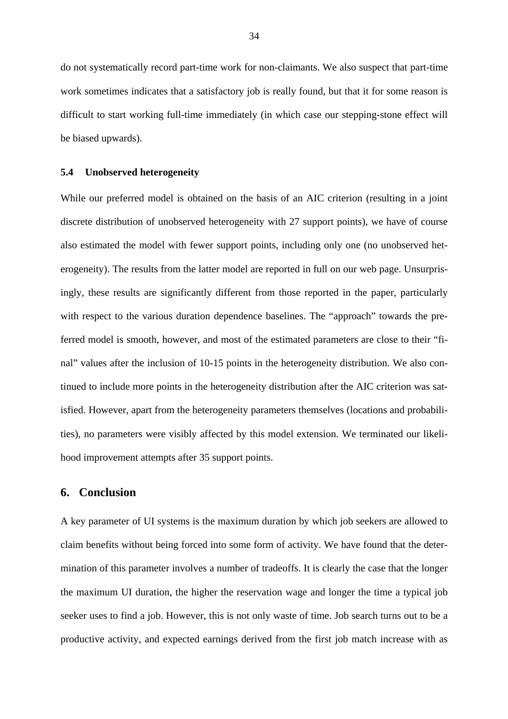do not systematically record part-time work for non-claimants. We also suspect that part-time work sometimes indicates that a satisfactory job is really found, but that it for some reason is difficult to start working full-time immediately (in which case our stepping-stone effect will be biased upwards).

### **5.4 Unobserved heterogeneity**

While our preferred model is obtained on the basis of an AIC criterion (resulting in a joint discrete distribution of unobserved heterogeneity with 27 support points), we have of course also estimated the model with fewer support points, including only one (no unobserved heterogeneity). The results from the latter model are reported in full on our web page. Unsurprisingly, these results are significantly different from those reported in the paper, particularly with respect to the various duration dependence baselines. The "approach" towards the preferred model is smooth, however, and most of the estimated parameters are close to their "final" values after the inclusion of 10-15 points in the heterogeneity distribution. We also continued to include more points in the heterogeneity distribution after the AIC criterion was satisfied. However, apart from the heterogeneity parameters themselves (locations and probabilities), no parameters were visibly affected by this model extension. We terminated our likelihood improvement attempts after 35 support points.

# **6. Conclusion**

A key parameter of UI systems is the maximum duration by which job seekers are allowed to claim benefits without being forced into some form of activity. We have found that the determination of this parameter involves a number of tradeoffs. It is clearly the case that the longer the maximum UI duration, the higher the reservation wage and longer the time a typical job seeker uses to find a job. However, this is not only waste of time. Job search turns out to be a productive activity, and expected earnings derived from the first job match increase with as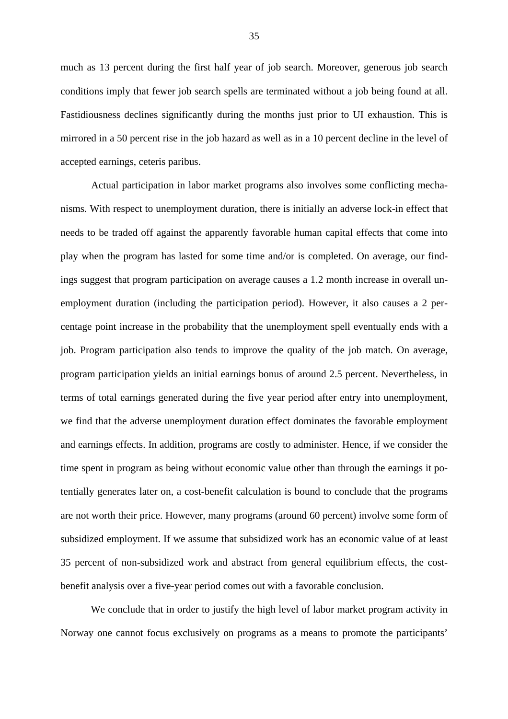much as 13 percent during the first half year of job search. Moreover, generous job search conditions imply that fewer job search spells are terminated without a job being found at all. Fastidiousness declines significantly during the months just prior to UI exhaustion. This is mirrored in a 50 percent rise in the job hazard as well as in a 10 percent decline in the level of accepted earnings, ceteris paribus.

 Actual participation in labor market programs also involves some conflicting mechanisms. With respect to unemployment duration, there is initially an adverse lock-in effect that needs to be traded off against the apparently favorable human capital effects that come into play when the program has lasted for some time and/or is completed. On average, our findings suggest that program participation on average causes a 1.2 month increase in overall unemployment duration (including the participation period). However, it also causes a 2 percentage point increase in the probability that the unemployment spell eventually ends with a job. Program participation also tends to improve the quality of the job match. On average, program participation yields an initial earnings bonus of around 2.5 percent. Nevertheless, in terms of total earnings generated during the five year period after entry into unemployment, we find that the adverse unemployment duration effect dominates the favorable employment and earnings effects. In addition, programs are costly to administer. Hence, if we consider the time spent in program as being without economic value other than through the earnings it potentially generates later on, a cost-benefit calculation is bound to conclude that the programs are not worth their price. However, many programs (around 60 percent) involve some form of subsidized employment. If we assume that subsidized work has an economic value of at least 35 percent of non-subsidized work and abstract from general equilibrium effects, the costbenefit analysis over a five-year period comes out with a favorable conclusion.

 We conclude that in order to justify the high level of labor market program activity in Norway one cannot focus exclusively on programs as a means to promote the participants'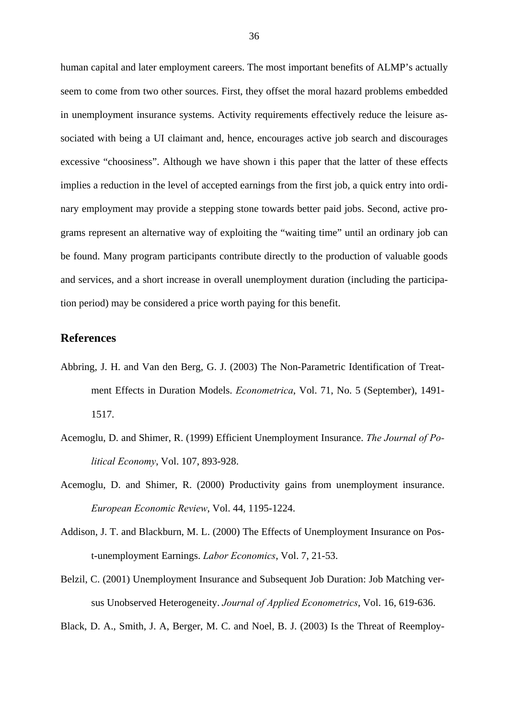human capital and later employment careers. The most important benefits of ALMP's actually seem to come from two other sources. First, they offset the moral hazard problems embedded in unemployment insurance systems. Activity requirements effectively reduce the leisure associated with being a UI claimant and, hence, encourages active job search and discourages excessive "choosiness". Although we have shown i this paper that the latter of these effects implies a reduction in the level of accepted earnings from the first job, a quick entry into ordinary employment may provide a stepping stone towards better paid jobs. Second, active programs represent an alternative way of exploiting the "waiting time" until an ordinary job can be found. Many program participants contribute directly to the production of valuable goods and services, and a short increase in overall unemployment duration (including the participation period) may be considered a price worth paying for this benefit.

# **References**

- Abbring, J. H. and Van den Berg, G. J. (2003) The Non-Parametric Identification of Treatment Effects in Duration Models. *Econometrica*, Vol. 71, No. 5 (September), 1491- 1517.
- Acemoglu, D. and Shimer, R. (1999) Efficient Unemployment Insurance. *The Journal of Political Economy*, Vol. 107, 893-928.
- Acemoglu, D. and Shimer, R. (2000) Productivity gains from unemployment insurance. *European Economic Review*, Vol. 44, 1195-1224.
- Addison, J. T. and Blackburn, M. L. (2000) The Effects of Unemployment Insurance on Post-unemployment Earnings. *Labor Economics*, Vol. 7, 21-53.
- Belzil, C. (2001) Unemployment Insurance and Subsequent Job Duration: Job Matching versus Unobserved Heterogeneity. *Journal of Applied Econometrics*, Vol. 16, 619-636.
- Black, D. A., Smith, J. A, Berger, M. C. and Noel, B. J. (2003) Is the Threat of Reemploy-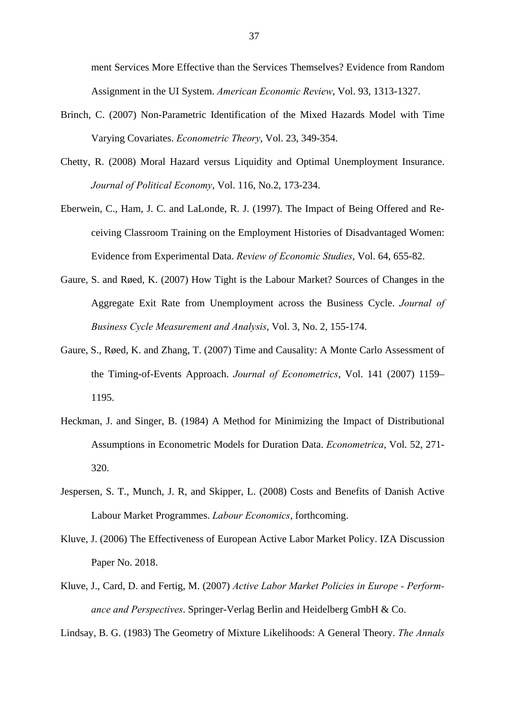ment Services More Effective than the Services Themselves? Evidence from Random Assignment in the UI System. *American Economic Review*, Vol. 93, 1313-1327.

- Brinch, C. (2007) Non-Parametric Identification of the Mixed Hazards Model with Time Varying Covariates. *Econometric Theory*, Vol. 23, 349-354.
- Chetty, R. (2008) Moral Hazard versus Liquidity and Optimal Unemployment Insurance. *Journal of Political Economy*, Vol. 116, No.2, 173-234.
- Eberwein, C., Ham, J. C. and LaLonde, R. J. (1997). The Impact of Being Offered and Receiving Classroom Training on the Employment Histories of Disadvantaged Women: Evidence from Experimental Data. *Review of Economic Studies*, Vol. 64, 655-82.
- Gaure, S. and Røed, K. (2007) How Tight is the Labour Market? Sources of Changes in the Aggregate Exit Rate from Unemployment across the Business Cycle. *Journal of Business Cycle Measurement and Analysis*, Vol. 3, No. 2, 155-174.
- Gaure, S., Røed, K. and Zhang, T. (2007) Time and Causality: A Monte Carlo Assessment of the Timing-of-Events Approach. *Journal of Econometrics*, Vol. 141 (2007) 1159– 1195.
- Heckman, J. and Singer, B. (1984) A Method for Minimizing the Impact of Distributional Assumptions in Econometric Models for Duration Data. *Econometrica*, Vol. 52, 271- 320.
- Jespersen, S. T., Munch, J. R, and Skipper, L. (2008) Costs and Benefits of Danish Active Labour Market Programmes. *Labour Economics*, forthcoming.
- Kluve, J. (2006) The Effectiveness of European Active Labor Market Policy. IZA Discussion Paper No. 2018.
- Kluve, J., Card, D. and Fertig, M. (2007) *Active Labor Market Policies in Europe Performance and Perspectives*. Springer-Verlag Berlin and Heidelberg GmbH & Co.

Lindsay, B. G. (1983) The Geometry of Mixture Likelihoods: A General Theory. *The Annals*